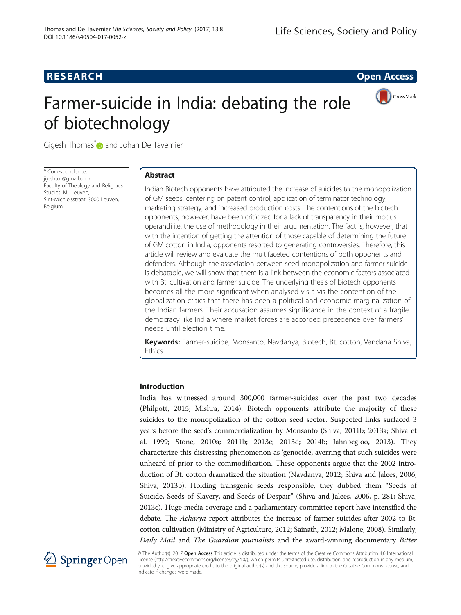# **RESEARCH RESEARCH CONSUMING ACCESS**

# Farmer-suicide in India: debating the role of biotechnology



Gigesh Thomas<sup>[\\*](http://orcid.org/0000-0002-1571-0000)</sup> and Johan De Tavernier

\* Correspondence: [jijeshtor@gmail.com](mailto:jijeshtor@gmail.com) Faculty of Theology and Religious Studies, KU Leuven, Sint-Michielsstraat, 3000 Leuven, Belgium

# Abstract

Indian Biotech opponents have attributed the increase of suicides to the monopolization of GM seeds, centering on patent control, application of terminator technology, marketing strategy, and increased production costs. The contentions of the biotech opponents, however, have been criticized for a lack of transparency in their modus operandi i.e. the use of methodology in their argumentation. The fact is, however, that with the intention of getting the attention of those capable of determining the future of GM cotton in India, opponents resorted to generating controversies. Therefore, this article will review and evaluate the multifaceted contentions of both opponents and defenders. Although the association between seed monopolization and farmer-suicide is debatable, we will show that there is a link between the economic factors associated with Bt. cultivation and farmer suicide. The underlying thesis of biotech opponents becomes all the more significant when analysed vis-à-vis the contention of the globalization critics that there has been a political and economic marginalization of the Indian farmers. Their accusation assumes significance in the context of a fragile democracy like India where market forces are accorded precedence over farmers' needs until election time.

Keywords: Farmer-suicide, Monsanto, Navdanya, Biotech, Bt. cotton, Vandana Shiva, Ethics

# Introduction

India has witnessed around 300,000 farmer-suicides over the past two decades (Philpott, [2015](#page-19-0); Mishra, [2014\)](#page-18-0). Biotech opponents attribute the majority of these suicides to the monopolization of the cotton seed sector. Suspected links surfaced 3 years before the seed's commercialization by Monsanto (Shiva, [2011b](#page-20-0); [2013a;](#page-20-0) Shiva et al. [1999](#page-20-0); Stone, [2010a; 2011b](#page-20-0); [2013c; 2013d](#page-20-0); [2014b;](#page-20-0) Jahnbegloo, [2013](#page-18-0)). They characterize this distressing phenomenon as 'genocide', averring that such suicides were unheard of prior to the commodification. These opponents argue that the 2002 introduction of Bt. cotton dramatized the situation (Navdanya, [2012;](#page-18-0) Shiva and Jalees, [2006](#page-20-0); Shiva, [2013b](#page-20-0)). Holding transgenic seeds responsible, they dubbed them "Seeds of Suicide, Seeds of Slavery, and Seeds of Despair" (Shiva and Jalees, [2006,](#page-20-0) p. 281; Shiva, [2013c\)](#page-20-0). Huge media coverage and a parliamentary committee report have intensified the debate. The Acharya report attributes the increase of farmer-suicides after 2002 to Bt. cotton cultivation (Ministry of Agriculture, [2012;](#page-18-0) Sainath, [2012;](#page-19-0) Malone, [2008](#page-18-0)). Similarly, Daily Mail and The Guardian journalists and the award-winning documentary Bitter



© The Author(s). 2017 Open Access This article is distributed under the terms of the Creative Commons Attribution 4.0 International License [\(http://creativecommons.org/licenses/by/4.0/](http://creativecommons.org/licenses/by/4.0/)), which permits unrestricted use, distribution, and reproduction in any medium, provided you give appropriate credit to the original author(s) and the source, provide a link to the Creative Commons license, and indicate if changes were made.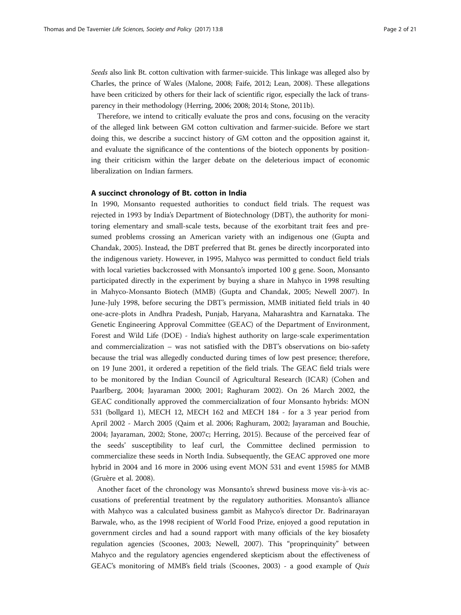Seeds also link Bt. cotton cultivation with farmer-suicide. This linkage was alleged also by Charles, the prince of Wales (Malone, [2008](#page-18-0); Faife, [2012](#page-17-0); Lean, [2008\)](#page-18-0). These allegations have been criticized by others for their lack of scientific rigor, especially the lack of transparency in their methodology (Herring, [2006; 2008; 2014;](#page-17-0) Stone, [2011b](#page-20-0)).

Therefore, we intend to critically evaluate the pros and cons, focusing on the veracity of the alleged link between GM cotton cultivation and farmer-suicide. Before we start doing this, we describe a succinct history of GM cotton and the opposition against it, and evaluate the significance of the contentions of the biotech opponents by positioning their criticism within the larger debate on the deleterious impact of economic liberalization on Indian farmers.

# A succinct chronology of Bt. cotton in India

In 1990, Monsanto requested authorities to conduct field trials. The request was rejected in 1993 by India's Department of Biotechnology (DBT), the authority for monitoring elementary and small-scale tests, because of the exorbitant trait fees and presumed problems crossing an American variety with an indigenous one (Gupta and Chandak, [2005](#page-17-0)). Instead, the DBT preferred that Bt. genes be directly incorporated into the indigenous variety. However, in 1995, Mahyco was permitted to conduct field trials with local varieties backcrossed with Monsanto's imported 100 g gene. Soon, Monsanto participated directly in the experiment by buying a share in Mahyco in 1998 resulting in Mahyco-Monsanto Biotech (MMB) (Gupta and Chandak, [2005;](#page-17-0) Newell [2007\)](#page-18-0). In June-July 1998, before securing the DBT's permission, MMB initiated field trials in 40 one-acre-plots in Andhra Pradesh, Punjab, Haryana, Maharashtra and Karnataka. The Genetic Engineering Approval Committee (GEAC) of the Department of Environment, Forest and Wild Life (DOE) - India's highest authority on large-scale experimentation and commercialization – was not satisfied with the DBT's observations on bio-safety because the trial was allegedly conducted during times of low pest presence; therefore, on 19 June 2001, it ordered a repetition of the field trials. The GEAC field trials were to be monitored by the Indian Council of Agricultural Research (ICAR) (Cohen and Paarlberg, [2004;](#page-17-0) Jayaraman [2000](#page-18-0); [2001;](#page-18-0) Raghuram [2002\)](#page-19-0). On 26 March 2002, the GEAC conditionally approved the commercialization of four Monsanto hybrids: MON 531 (bollgard 1), MECH 12, MECH 162 and MECH 184 - for a 3 year period from April 2002 - March 2005 (Qaim et al. [2006](#page-19-0); Raghuram, [2002](#page-19-0); Jayaraman and Bouchie, [2004](#page-18-0); Jayaraman, [2002](#page-18-0); Stone, [2007c](#page-20-0); Herring, [2015\)](#page-17-0). Because of the perceived fear of the seeds' susceptibility to leaf curl, the Committee declined permission to commercialize these seeds in North India. Subsequently, the GEAC approved one more hybrid in 2004 and 16 more in 2006 using event MON 531 and event 15985 for MMB (Gruère et al. [2008\)](#page-17-0).

Another facet of the chronology was Monsanto's shrewd business move vis-à-vis accusations of preferential treatment by the regulatory authorities. Monsanto's alliance with Mahyco was a calculated business gambit as Mahyco's director Dr. Badrinarayan Barwale, who, as the 1998 recipient of World Food Prize, enjoyed a good reputation in government circles and had a sound rapport with many officials of the key biosafety regulation agencies (Scoones, [2003](#page-19-0); Newell, [2007\)](#page-18-0). This "proprinquinity" between Mahyco and the regulatory agencies engendered skepticism about the effectiveness of GEAC's monitoring of MMB's field trials (Scoones, [2003](#page-19-0)) - a good example of Quis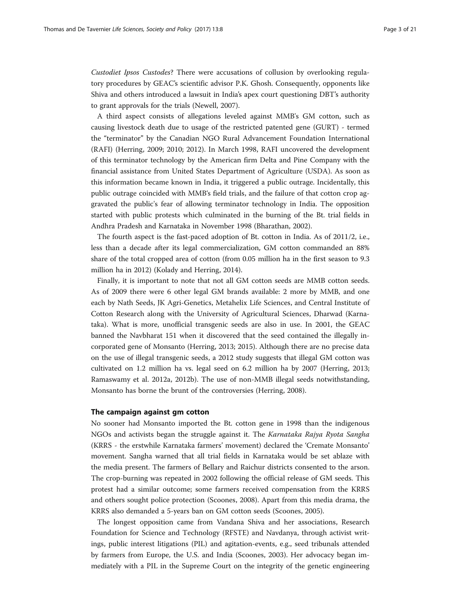Custodiet Ipsos Custodes? There were accusations of collusion by overlooking regulatory procedures by GEAC's scientific advisor P.K. Ghosh. Consequently, opponents like Shiva and others introduced a lawsuit in India's apex court questioning DBT's authority to grant approvals for the trials (Newell, [2007\)](#page-18-0).

A third aspect consists of allegations leveled against MMB's GM cotton, such as causing livestock death due to usage of the restricted patented gene (GURT) - termed the "terminator" by the Canadian NGO Rural Advancement Foundation International (RAFI) (Herring, [2009; 2010](#page-17-0); [2012\)](#page-17-0). In March 1998, RAFI uncovered the development of this terminator technology by the American firm Delta and Pine Company with the financial assistance from United States Department of Agriculture (USDA). As soon as this information became known in India, it triggered a public outrage. Incidentally, this public outrage coincided with MMB's field trials, and the failure of that cotton crop aggravated the public's fear of allowing terminator technology in India. The opposition started with public protests which culminated in the burning of the Bt. trial fields in Andhra Pradesh and Karnataka in November 1998 (Bharathan, [2002](#page-17-0)).

The fourth aspect is the fast-paced adoption of Bt. cotton in India. As of 2011/2, i.e., less than a decade after its legal commercialization, GM cotton commanded an 88% share of the total cropped area of cotton (from 0.05 million ha in the first season to 9.3 million ha in 2012) (Kolady and Herring, [2014](#page-18-0)).

Finally, it is important to note that not all GM cotton seeds are MMB cotton seeds. As of 2009 there were 6 other legal GM brands available: 2 more by MMB, and one each by Nath Seeds, JK Agri-Genetics, Metahelix Life Sciences, and Central Institute of Cotton Research along with the University of Agricultural Sciences, Dharwad (Karnataka). What is more, unofficial transgenic seeds are also in use. In 2001, the GEAC banned the Navbharat 151 when it discovered that the seed contained the illegally incorporated gene of Monsanto (Herring, [2013](#page-17-0); [2015\)](#page-17-0). Although there are no precise data on the use of illegal transgenic seeds, a 2012 study suggests that illegal GM cotton was cultivated on 1.2 million ha vs. legal seed on 6.2 million ha by 2007 (Herring, [2013](#page-17-0); Ramaswamy et al. [2012a](#page-19-0), [2012b](#page-19-0)). The use of non-MMB illegal seeds notwithstanding, Monsanto has borne the brunt of the controversies (Herring, [2008\)](#page-17-0).

### The campaign against gm cotton

No sooner had Monsanto imported the Bt. cotton gene in 1998 than the indigenous NGOs and activists began the struggle against it. The Karnataka Rajya Ryota Sangha (KRRS - the erstwhile Karnataka farmers' movement) declared the 'Cremate Monsanto' movement. Sangha warned that all trial fields in Karnataka would be set ablaze with the media present. The farmers of Bellary and Raichur districts consented to the arson. The crop-burning was repeated in 2002 following the official release of GM seeds. This protest had a similar outcome; some farmers received compensation from the KRRS and others sought police protection (Scoones, [2008](#page-19-0)). Apart from this media drama, the KRRS also demanded a 5-years ban on GM cotton seeds (Scoones, [2005\)](#page-19-0).

The longest opposition came from Vandana Shiva and her associations, Research Foundation for Science and Technology (RFSTE) and Navdanya, through activist writings, public interest litigations (PIL) and agitation-events, e.g., seed tribunals attended by farmers from Europe, the U.S. and India (Scoones, [2003\)](#page-19-0). Her advocacy began immediately with a PIL in the Supreme Court on the integrity of the genetic engineering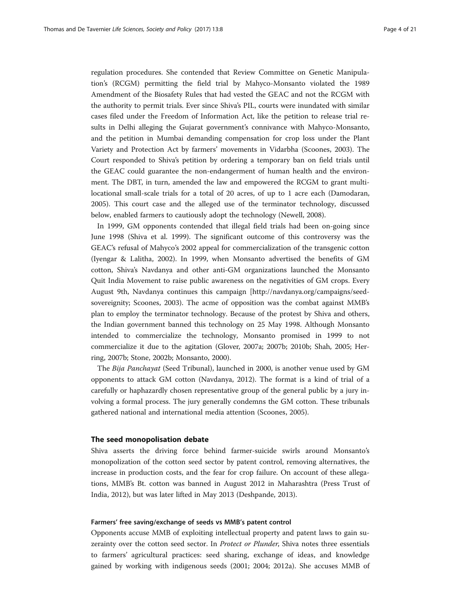regulation procedures. She contended that Review Committee on Genetic Manipulation's (RCGM) permitting the field trial by Mahyco-Monsanto violated the 1989 Amendment of the Biosafety Rules that had vested the GEAC and not the RCGM with the authority to permit trials. Ever since Shiva's PIL, courts were inundated with similar cases filed under the Freedom of Information Act, like the petition to release trial results in Delhi alleging the Gujarat government's connivance with Mahyco-Monsanto, and the petition in Mumbai demanding compensation for crop loss under the Plant Variety and Protection Act by farmers' movements in Vidarbha (Scoones, [2003](#page-19-0)). The Court responded to Shiva's petition by ordering a temporary ban on field trials until the GEAC could guarantee the non-endangerment of human health and the environment. The DBT, in turn, amended the law and empowered the RCGM to grant multilocational small-scale trials for a total of 20 acres, of up to 1 acre each (Damodaran, [2005](#page-17-0)). This court case and the alleged use of the terminator technology, discussed below, enabled farmers to cautiously adopt the technology (Newell, [2008\)](#page-18-0).

In 1999, GM opponents contended that illegal field trials had been on-going since June 1998 (Shiva et al. [1999](#page-20-0)). The significant outcome of this controversy was the GEAC's refusal of Mahyco's 2002 appeal for commercialization of the transgenic cotton (Iyengar & Lalitha, [2002](#page-18-0)). In 1999, when Monsanto advertised the benefits of GM cotton, Shiva's Navdanya and other anti-GM organizations launched the Monsanto Quit India Movement to raise public awareness on the negativities of GM crops. Every August 9th, Navdanya continues this campaign [\[http://navdanya.org/campaigns/seed](http://navdanya.org/campaigns/seed-sovereignity)[sovereignity](http://navdanya.org/campaigns/seed-sovereignity); Scoones, [2003\)](#page-19-0). The acme of opposition was the combat against MMB's plan to employ the terminator technology. Because of the protest by Shiva and others, the Indian government banned this technology on 25 May 1998. Although Monsanto intended to commercialize the technology, Monsanto promised in 1999 to not commercialize it due to the agitation (Glover, [2007a](#page-17-0); [2007b](#page-17-0); [2010b](#page-17-0); Shah, [2005](#page-19-0); Herring, [2007b;](#page-17-0) Stone, [2002b](#page-20-0); [Monsanto, 2000](#page-18-0)).

The Bija Panchayat (Seed Tribunal), launched in 2000, is another venue used by GM opponents to attack GM cotton (Navdanya, [2012](#page-18-0)). The format is a kind of trial of a carefully or haphazardly chosen representative group of the general public by a jury involving a formal process. The jury generally condemns the GM cotton. These tribunals gathered national and international media attention (Scoones, [2005\)](#page-19-0).

### The seed monopolisation debate

Shiva asserts the driving force behind farmer-suicide swirls around Monsanto's monopolization of the cotton seed sector by patent control, removing alternatives, the increase in production costs, and the fear for crop failure. On account of these allegations, MMB's Bt. cotton was banned in August 2012 in Maharashtra (Press Trust of India, [2012](#page-19-0)), but was later lifted in May 2013 (Deshpande, [2013\)](#page-17-0).

# Farmers' free saving/exchange of seeds vs MMB's patent control

Opponents accuse MMB of exploiting intellectual property and patent laws to gain suzerainty over the cotton seed sector. In Protect or Plunder, Shiva notes three essentials to farmers' agricultural practices: seed sharing, exchange of ideas, and knowledge gained by working with indigenous seeds (2001; [2004;](#page-19-0) [2012a](#page-20-0)). She accuses MMB of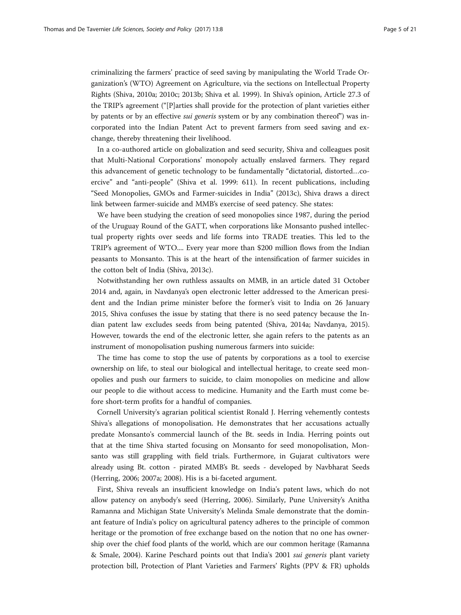criminalizing the farmers' practice of seed saving by manipulating the World Trade Organization's (WTO) Agreement on Agriculture, via the sections on Intellectual Property Rights (Shiva, [2010a;](#page-19-0) [2010c](#page-20-0); [2013b;](#page-20-0) Shiva et al. [1999\)](#page-20-0). In Shiva's opinion, Article 27.3 of the TRIP's agreement ("[P]arties shall provide for the protection of plant varieties either by patents or by an effective sui generis system or by any combination thereof") was incorporated into the Indian Patent Act to prevent farmers from seed saving and exchange, thereby threatening their livelihood.

In a co-authored article on globalization and seed security, Shiva and colleagues posit that Multi-National Corporations' monopoly actually enslaved farmers. They regard this advancement of genetic technology to be fundamentally "dictatorial, distorted…coercive" and "anti-people" (Shiva et al. [1999](#page-20-0): 611). In recent publications, including "Seed Monopolies, GMOs and Farmer-suicides in India" (2013c), Shiva draws a direct link between farmer-suicide and MMB's exercise of seed patency. She states:

We have been studying the creation of seed monopolies since 1987, during the period of the Uruguay Round of the GATT, when corporations like Monsanto pushed intellectual property rights over seeds and life forms into TRADE treaties. This led to the TRIP's agreement of WTO.... Every year more than \$200 million flows from the Indian peasants to Monsanto. This is at the heart of the intensification of farmer suicides in the cotton belt of India (Shiva, [2013c](#page-20-0)).

Notwithstanding her own ruthless assaults on MMB, in an article dated 31 October 2014 and, again, in Navdanya's open electronic letter addressed to the American president and the Indian prime minister before the former's visit to India on 26 January 2015, Shiva confuses the issue by stating that there is no seed patency because the Indian patent law excludes seeds from being patented (Shiva, [2014a](#page-20-0); Navdanya, [2015](#page-18-0)). However, towards the end of the electronic letter, she again refers to the patents as an instrument of monopolisation pushing numerous farmers into suicide:

The time has come to stop the use of patents by corporations as a tool to exercise ownership on life, to steal our biological and intellectual heritage, to create seed monopolies and push our farmers to suicide, to claim monopolies on medicine and allow our people to die without access to medicine. Humanity and the Earth must come before short-term profits for a handful of companies.

Cornell University's agrarian political scientist Ronald J. Herring vehemently contests Shiva's allegations of monopolisation. He demonstrates that her accusations actually predate Monsanto's commercial launch of the Bt. seeds in India. Herring points out that at the time Shiva started focusing on Monsanto for seed monopolisation, Monsanto was still grappling with field trials. Furthermore, in Gujarat cultivators were already using Bt. cotton - pirated MMB's Bt. seeds - developed by Navbharat Seeds (Herring, [2006; 2007a; 2008\)](#page-17-0). His is a bi-faceted argument.

First, Shiva reveals an insufficient knowledge on India's patent laws, which do not allow patency on anybody's seed (Herring, [2006\)](#page-17-0). Similarly, Pune University's Anitha Ramanna and Michigan State University's Melinda Smale demonstrate that the dominant feature of India's policy on agricultural patency adheres to the principle of common heritage or the promotion of free exchange based on the notion that no one has ownership over the chief food plants of the world, which are our common heritage (Ramanna & Smale, [2004\)](#page-19-0). Karine Peschard points out that India's 2001 sui generis plant variety protection bill, Protection of Plant Varieties and Farmers' Rights (PPV & FR) upholds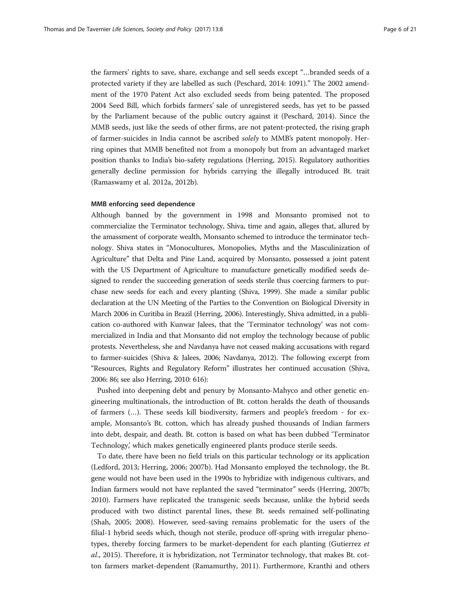the farmers' rights to save, share, exchange and sell seeds except "…branded seeds of a protected variety if they are labelled as such (Peschard, [2014](#page-19-0): 1091)." The 2002 amendment of the 1970 Patent Act also excluded seeds from being patented. The proposed 2004 Seed Bill, which forbids farmers' sale of unregistered seeds, has yet to be passed by the Parliament because of the public outcry against it (Peschard, [2014](#page-19-0)). Since the MMB seeds, just like the seeds of other firms, are not patent-protected, the rising graph of farmer-suicides in India cannot be ascribed solely to MMB's patent monopoly. Herring opines that MMB benefited not from a monopoly but from an advantaged market position thanks to India's bio-safety regulations (Herring, [2015](#page-17-0)). Regulatory authorities generally decline permission for hybrids carrying the illegally introduced Bt. trait (Ramaswamy et al. [2012a](#page-19-0), [2012b](#page-19-0)).

# MMB enforcing seed dependence

Although banned by the government in 1998 and Monsanto promised not to commercialize the Terminator technology, Shiva, time and again, alleges that, allured by the amassment of corporate wealth, Monsanto schemed to introduce the terminator technology. Shiva states in "Monocultures, Monopolies, Myths and the Masculinization of Agriculture" that Delta and Pine Land, acquired by Monsanto, possessed a joint patent with the US Department of Agriculture to manufacture genetically modified seeds designed to render the succeeding generation of seeds sterile thus coercing farmers to purchase new seeds for each and every planting (Shiva, [1999\)](#page-19-0). She made a similar public declaration at the UN Meeting of the Parties to the Convention on Biological Diversity in March 2006 in Curitiba in Brazil (Herring, [2006](#page-17-0)). Interestingly, Shiva admitted, in a publication co-authored with Kunwar Jalees, that the 'Terminator technology' was not commercialized in India and that Monsanto did not employ the technology because of public protests. Nevertheless, she and Navdanya have not ceased making accusations with regard to farmer-suicides (Shiva & Jalees, [2006;](#page-20-0) Navdanya, [2012](#page-18-0)). The following excerpt from "Resources, Rights and Regulatory Reform" illustrates her continued accusation (Shiva, [2006:](#page-19-0) 86; see also Herring, [2010:](#page-17-0) 616):

Pushed into deepening debt and penury by Monsanto-Mahyco and other genetic engineering multinationals, the introduction of Bt. cotton heralds the death of thousands of farmers (…). These seeds kill biodiversity, farmers and people's freedom - for example, Monsanto's Bt. cotton, which has already pushed thousands of Indian farmers into debt, despair, and death. Bt. cotton is based on what has been dubbed 'Terminator Technology,' which makes genetically engineered plants produce sterile seeds.

To date, there have been no field trials on this particular technology or its application (Ledford, [2013;](#page-18-0) Herring, [2006; 2007b\)](#page-17-0). Had Monsanto employed the technology, the Bt. gene would not have been used in the 1990s to hybridize with indigenous cultivars, and Indian farmers would not have replanted the saved "terminator" seeds (Herring, [2007b](#page-17-0); [2010](#page-17-0)). Farmers have replicated the transgenic seeds because, unlike the hybrid seeds produced with two distinct parental lines, these Bt. seeds remained self-pollinating (Shah, [2005; 2008\)](#page-19-0). However, seed-saving remains problematic for the users of the filial-1 hybrid seeds which, though not sterile, produce off-spring with irregular phenotypes, thereby forcing farmers to be market-dependent for each planting (Gutierrez et al., [2015\)](#page-17-0). Therefore, it is hybridization, not Terminator technology, that makes Bt. cotton farmers market-dependent (Ramamurthy, [2011\)](#page-19-0). Furthermore, Kranthi and others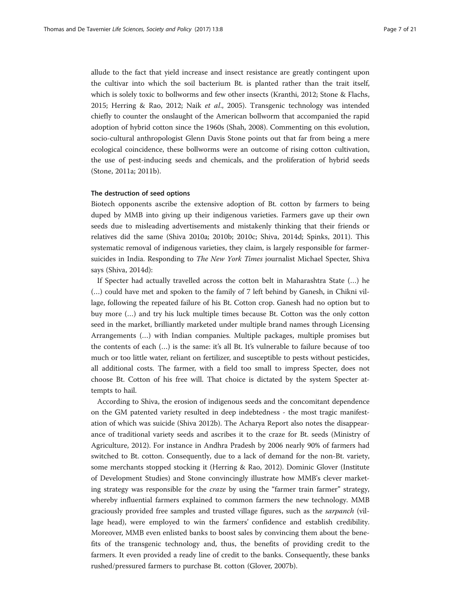allude to the fact that yield increase and insect resistance are greatly contingent upon the cultivar into which the soil bacterium Bt. is planted rather than the trait itself, which is solely toxic to bollworms and few other insects (Kranthi, [2012;](#page-18-0) Stone & Flachs, [2015](#page-20-0); Herring & Rao, [2012](#page-18-0); Naik et al., [2005](#page-18-0)). Transgenic technology was intended chiefly to counter the onslaught of the American bollworm that accompanied the rapid adoption of hybrid cotton since the 1960s (Shah, [2008\)](#page-19-0). Commenting on this evolution, socio-cultural anthropologist Glenn Davis Stone points out that far from being a mere ecological coincidence, these bollworms were an outcome of rising cotton cultivation, the use of pest-inducing seeds and chemicals, and the proliferation of hybrid seeds (Stone, [2011a](#page-20-0); [2011b\)](#page-20-0).

# The destruction of seed options

Biotech opponents ascribe the extensive adoption of Bt. cotton by farmers to being duped by MMB into giving up their indigenous varieties. Farmers gave up their own seeds due to misleading advertisements and mistakenly thinking that their friends or relatives did the same (Shiva [2010a](#page-19-0); [2010b; 2010c](#page-20-0); Shiva, [2014d](#page-20-0); Spinks, [2011\)](#page-20-0). This systematic removal of indigenous varieties, they claim, is largely responsible for farmersuicides in India. Responding to The New York Times journalist Michael Specter, Shiva says (Shiva, [2014d\)](#page-20-0):

If Specter had actually travelled across the cotton belt in Maharashtra State (…) he (…) could have met and spoken to the family of 7 left behind by Ganesh, in Chikni village, following the repeated failure of his Bt. Cotton crop. Ganesh had no option but to buy more (…) and try his luck multiple times because Bt. Cotton was the only cotton seed in the market, brilliantly marketed under multiple brand names through Licensing Arrangements (…) with Indian companies. Multiple packages, multiple promises but the contents of each (…) is the same: it's all Bt. It's vulnerable to failure because of too much or too little water, reliant on fertilizer, and susceptible to pests without pesticides, all additional costs. The farmer, with a field too small to impress Specter, does not choose Bt. Cotton of his free will. That choice is dictated by the system Specter attempts to hail.

According to Shiva, the erosion of indigenous seeds and the concomitant dependence on the GM patented variety resulted in deep indebtedness - the most tragic manifestation of which was suicide (Shiva [2012b\)](#page-20-0). The Acharya Report also notes the disappearance of traditional variety seeds and ascribes it to the craze for Bt. seeds (Ministry of Agriculture, [2012](#page-18-0)). For instance in Andhra Pradesh by 2006 nearly 90% of farmers had switched to Bt. cotton. Consequently, due to a lack of demand for the non-Bt. variety, some merchants stopped stocking it (Herring & Rao, [2012\)](#page-18-0). Dominic Glover (Institute of Development Studies) and Stone convincingly illustrate how MMB's clever marketing strategy was responsible for the *craze* by using the "farmer train farmer" strategy, whereby influential farmers explained to common farmers the new technology. MMB graciously provided free samples and trusted village figures, such as the sarpanch (village head), were employed to win the farmers' confidence and establish credibility. Moreover, MMB even enlisted banks to boost sales by convincing them about the benefits of the transgenic technology and, thus, the benefits of providing credit to the farmers. It even provided a ready line of credit to the banks. Consequently, these banks rushed/pressured farmers to purchase Bt. cotton (Glover, [2007b](#page-17-0)).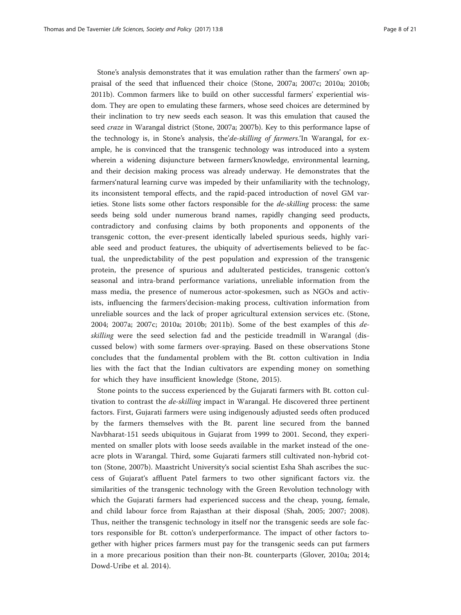Stone's analysis demonstrates that it was emulation rather than the farmers' own appraisal of the seed that influenced their choice (Stone, [2007a; 2007c; 2010a; 2010b](#page-20-0); [2011b](#page-20-0)). Common farmers like to build on other successful farmers' experiential wisdom. They are open to emulating these farmers, whose seed choices are determined by their inclination to try new seeds each season. It was this emulation that caused the seed craze in Warangal district (Stone, [2007a](#page-20-0); [2007b](#page-20-0)). Key to this performance lapse of the technology is, in Stone's analysis, the'de-skilling of farmers.'In Warangal, for example, he is convinced that the transgenic technology was introduced into a system wherein a widening disjuncture between farmers'knowledge, environmental learning, and their decision making process was already underway. He demonstrates that the farmers'natural learning curve was impeded by their unfamiliarity with the technology, its inconsistent temporal effects, and the rapid-paced introduction of novel GM varieties. Stone lists some other factors responsible for the *de-skilling* process: the same seeds being sold under numerous brand names, rapidly changing seed products, contradictory and confusing claims by both proponents and opponents of the transgenic cotton, the ever-present identically labeled spurious seeds, highly variable seed and product features, the ubiquity of advertisements believed to be factual, the unpredictability of the pest population and expression of the transgenic protein, the presence of spurious and adulterated pesticides, transgenic cotton's seasonal and intra-brand performance variations, unreliable information from the mass media, the presence of numerous actor-spokesmen, such as NGOs and activists, influencing the farmers'decision-making process, cultivation information from unreliable sources and the lack of proper agricultural extension services etc. (Stone, [2004; 2007a](#page-20-0); [2007c; 2010a](#page-20-0); [2010b; 2011b](#page-20-0)). Some of the best examples of this deskilling were the seed selection fad and the pesticide treadmill in Warangal (discussed below) with some farmers over-spraying. Based on these observations Stone concludes that the fundamental problem with the Bt. cotton cultivation in India lies with the fact that the Indian cultivators are expending money on something for which they have insufficient knowledge (Stone, [2015](#page-20-0)).

Stone points to the success experienced by the Gujarati farmers with Bt. cotton cultivation to contrast the *de-skilling* impact in Warangal. He discovered three pertinent factors. First, Gujarati farmers were using indigenously adjusted seeds often produced by the farmers themselves with the Bt. parent line secured from the banned Navbharat-151 seeds ubiquitous in Gujarat from 1999 to 2001. Second, they experimented on smaller plots with loose seeds available in the market instead of the oneacre plots in Warangal. Third, some Gujarati farmers still cultivated non-hybrid cotton (Stone, [2007b\)](#page-20-0). Maastricht University's social scientist Esha Shah ascribes the success of Gujarat's affluent Patel farmers to two other significant factors viz. the similarities of the transgenic technology with the Green Revolution technology with which the Gujarati farmers had experienced success and the cheap, young, female, and child labour force from Rajasthan at their disposal (Shah, [2005; 2007; 2008](#page-19-0)). Thus, neither the transgenic technology in itself nor the transgenic seeds are sole factors responsible for Bt. cotton's underperformance. The impact of other factors together with higher prices farmers must pay for the transgenic seeds can put farmers in a more precarious position than their non-Bt. counterparts (Glover, [2010a](#page-17-0); [2014](#page-17-0); Dowd-Uribe et al. [2014](#page-17-0)).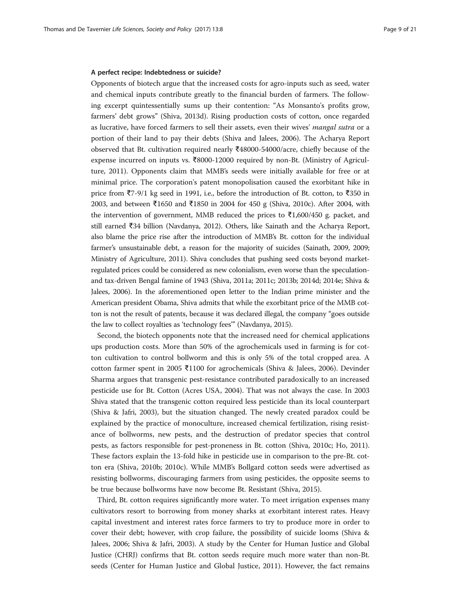#### A perfect recipe: Indebtedness or suicide?

Opponents of biotech argue that the increased costs for agro-inputs such as seed, water and chemical inputs contribute greatly to the financial burden of farmers. The following excerpt quintessentially sums up their contention: "As Monsanto's profits grow, farmers' debt grows" (Shiva, [2013d\)](#page-20-0). Rising production costs of cotton, once regarded as lucrative, have forced farmers to sell their assets, even their wives' mangal sutra or a portion of their land to pay their debts (Shiva and Jalees, [2006](#page-20-0)). The Acharya Report observed that Bt. cultivation required nearly ₹48000-54000/acre, chiefly because of the expense incurred on inputs vs. ₹8000-12000 required by non-Bt. [\(Ministry of Agricul](#page-18-0)[ture, 2011](#page-18-0)). Opponents claim that MMB's seeds were initially available for free or at minimal price. The corporation's patent monopolisation caused the exorbitant hike in price from ₹7-9/1 kg seed in 1991, i.e., before the introduction of Bt. cotton, to ₹350 in 2003, and between ₹1650 and ₹1850 in 2004 for 450 g (Shiva, [2010c](#page-20-0)). After 2004, with the intervention of government, MMB reduced the prices to  $\bar{\tau}1,600/450$  g. packet, and still earned ₹34 billion (Navdanya, [2012](#page-18-0)). Others, like Sainath and the Acharya Report, also blame the price rise after the introduction of MMB's Bt. cotton for the individual farmer's unsustainable debt, a reason for the majority of suicides (Sainath, [2009](#page-19-0), [2009](#page-19-0); Ministry of Agriculture, 2011). Shiva concludes that pushing seed costs beyond marketregulated prices could be considered as new colonialism, even worse than the speculationand tax-driven Bengal famine of 1943 (Shiva, [2011a](#page-20-0); [2011c; 2013b](#page-20-0); [2014d; 2014e](#page-20-0); Shiva & Jalees, [2006](#page-20-0)). In the aforementioned open letter to the Indian prime minister and the American president Obama, Shiva admits that while the exorbitant price of the MMB cotton is not the result of patents, because it was declared illegal, the company "goes outside the law to collect royalties as 'technology fees'" (Navdanya, [2015](#page-18-0)).

Second, the biotech opponents note that the increased need for chemical applications ups production costs. More than 50% of the agrochemicals used in farming is for cotton cultivation to control bollworm and this is only 5% of the total cropped area. A cotton farmer spent in 2005 ₹1100 for agrochemicals (Shiva & Jalees, [2006](#page-20-0)). Devinder Sharma argues that transgenic pest-resistance contributed paradoxically to an increased pesticide use for Bt. Cotton (Acres USA, [2004\)](#page-17-0). That was not always the case. In 2003 Shiva stated that the transgenic cotton required less pesticide than its local counterpart (Shiva & Jafri, [2003\)](#page-20-0), but the situation changed. The newly created paradox could be explained by the practice of monoculture, increased chemical fertilization, rising resistance of bollworms, new pests, and the destruction of predator species that control pests, as factors responsible for pest-proneness in Bt. cotton (Shiva, [2010c](#page-20-0); Ho, [2011](#page-18-0)). These factors explain the 13-fold hike in pesticide use in comparison to the pre-Bt. cotton era (Shiva, [2010b](#page-20-0); [2010c](#page-20-0)). While MMB's Bollgard cotton seeds were advertised as resisting bollworms, discouraging farmers from using pesticides, the opposite seems to be true because bollworms have now become Bt. Resistant (Shiva, [2015](#page-20-0)).

Third, Bt. cotton requires significantly more water. To meet irrigation expenses many cultivators resort to borrowing from money sharks at exorbitant interest rates. Heavy capital investment and interest rates force farmers to try to produce more in order to cover their debt; however, with crop failure, the possibility of suicide looms (Shiva & Jalees, [2006](#page-20-0); Shiva & Jafri, [2003](#page-20-0)). A study by the Center for Human Justice and Global Justice (CHRJ) confirms that Bt. cotton seeds require much more water than non-Bt. seeds (Center for Human Justice and Global Justice, [2011](#page-17-0)). However, the fact remains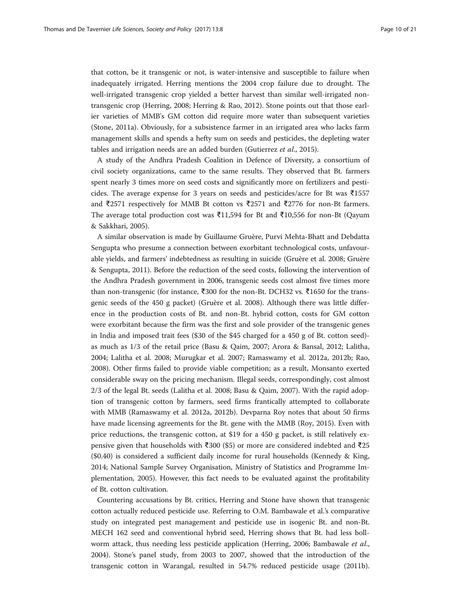that cotton, be it transgenic or not, is water-intensive and susceptible to failure when inadequately irrigated. Herring mentions the 2004 crop failure due to drought. The well-irrigated transgenic crop yielded a better harvest than similar well-irrigated nontransgenic crop (Herring, [2008](#page-17-0); Herring & Rao, [2012](#page-18-0)). Stone points out that those earlier varieties of MMB's GM cotton did require more water than subsequent varieties (Stone, [2011a](#page-20-0)). Obviously, for a subsistence farmer in an irrigated area who lacks farm management skills and spends a hefty sum on seeds and pesticides, the depleting water tables and irrigation needs are an added burden (Gutierrez et al., [2015\)](#page-17-0).

A study of the Andhra Pradesh Coalition in Defence of Diversity, a consortium of civil society organizations, came to the same results. They observed that Bt. farmers spent nearly 3 times more on seed costs and significantly more on fertilizers and pesticides. The average expense for 3 years on seeds and pesticides/acre for Bt was ₹1557 and ₹2571 respectively for MMB Bt cotton vs ₹2571 and ₹2776 for non-Bt farmers. The average total production cost was ₹11,594 for Bt and ₹10,556 for non-Bt (Qayum & Sakkhari, [2005\)](#page-19-0).

A similar observation is made by Guillaume Gruère, Purvi Mehta-Bhatt and Debdatta Sengupta who presume a connection between exorbitant technological costs, unfavourable yields, and farmers' indebtedness as resulting in suicide (Gruère et al. [2008;](#page-17-0) Gruère & Sengupta, [2011](#page-17-0)). Before the reduction of the seed costs, following the intervention of the Andhra Pradesh government in 2006, transgenic seeds cost almost five times more than non-transgenic (for instance, ₹300 for the non-Bt. DCH32 vs. ₹1650 for the transgenic seeds of the 450 g packet) (Gruère et al. [2008\)](#page-17-0). Although there was little difference in the production costs of Bt. and non-Bt. hybrid cotton, costs for GM cotton were exorbitant because the firm was the first and sole provider of the transgenic genes in India and imposed trait fees (\$30 of the \$45 charged for a 450 g of Bt. cotton seed) as much as 1/3 of the retail price (Basu & Qaim, [2007;](#page-17-0) Arora & Bansal, [2012](#page-17-0); Lalitha, [2004](#page-18-0); Lalitha et al. [2008](#page-18-0); Murugkar et al. [2007;](#page-18-0) Ramaswamy et al. [2012a](#page-19-0), [2012b;](#page-19-0) Rao, [2008](#page-19-0)). Other firms failed to provide viable competition; as a result, Monsanto exerted considerable sway on the pricing mechanism. Illegal seeds, correspondingly, cost almost 2/3 of the legal Bt. seeds (Lalitha et al. [2008](#page-18-0); Basu & Qaim, [2007](#page-17-0)). With the rapid adoption of transgenic cotton by farmers, seed firms frantically attempted to collaborate with MMB (Ramaswamy et al. [2012a](#page-19-0), [2012b\)](#page-19-0). Devparna Roy notes that about 50 firms have made licensing agreements for the Bt. gene with the MMB (Roy, [2015](#page-19-0)). Even with price reductions, the transgenic cotton, at \$19 for a 450 g packet, is still relatively expensive given that households with ₹300 (\$5) or more are considered indebted and ₹25 (\$0.40) is considered a sufficient daily income for rural households (Kennedy & King, [2014](#page-18-0); National Sample Survey Organisation, Ministry of Statistics and Programme Implementation, [2005](#page-18-0)). However, this fact needs to be evaluated against the profitability of Bt. cotton cultivation.

Countering accusations by Bt. critics, Herring and Stone have shown that transgenic cotton actually reduced pesticide use. Referring to O.M. Bambawale et al.'s comparative study on integrated pest management and pesticide use in isogenic Bt. and non-Bt. MECH 162 seed and conventional hybrid seed, Herring shows that Bt. had less bollworm attack, thus needing less pesticide application (Herring, [2006;](#page-17-0) Bambawale et al., [2004](#page-17-0)). Stone's panel study, from 2003 to 2007, showed that the introduction of the transgenic cotton in Warangal, resulted in 54.7% reduced pesticide usage (2011b).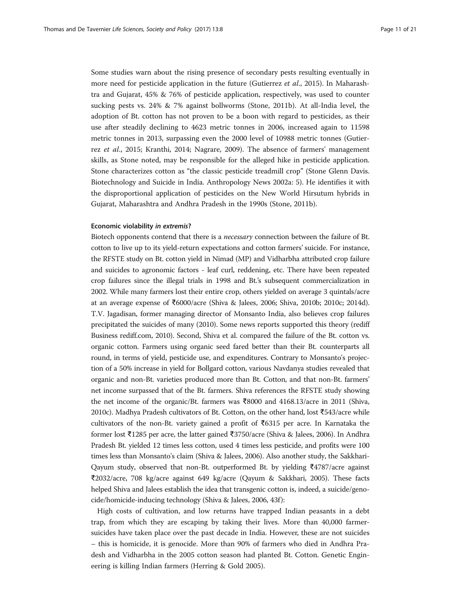Some studies warn about the rising presence of secondary pests resulting eventually in more need for pesticide application in the future (Gutierrez et al., [2015](#page-17-0)). In Maharashtra and Gujarat, 45% & 76% of pesticide application, respectively, was used to counter sucking pests vs. 24% & 7% against bollworms (Stone, [2011b\)](#page-20-0). At all-India level, the adoption of Bt. cotton has not proven to be a boon with regard to pesticides, as their use after steadily declining to 4623 metric tonnes in 2006, increased again to 11598 metric tonnes in 2013, surpassing even the 2000 level of 10988 metric tonnes (Gutierrez et al., [2015;](#page-17-0) Kranthi, [2014](#page-18-0); Nagrare, [2009](#page-18-0)). The absence of farmers' management skills, as Stone noted, may be responsible for the alleged hike in pesticide application. Stone characterizes cotton as "the classic pesticide treadmill crop" (Stone Glenn Davis. Biotechnology and Suicide in India. Anthropology News [2002a:](#page-20-0) 5). He identifies it with the disproportional application of pesticides on the New World Hirsutum hybrids in Gujarat, Maharashtra and Andhra Pradesh in the 1990s (Stone, [2011b\)](#page-20-0).

# Economic violability in extremis?

Biotech opponents contend that there is a necessary connection between the failure of Bt. cotton to live up to its yield-return expectations and cotton farmers' suicide. For instance, the RFSTE study on Bt. cotton yield in Nimad (MP) and Vidharbha attributed crop failure and suicides to agronomic factors - leaf curl, reddening, etc. There have been repeated crop failures since the illegal trials in 1998 and Bt.'s subsequent commercialization in 2002. While many farmers lost their entire crop, others yielded on average 3 quintals/acre at an average expense of ₹6000/acre (Shiva & Jalees, [2006;](#page-20-0) Shiva, [2010b](#page-20-0); [2010c](#page-20-0); [2014d](#page-20-0)). T.V. Jagadisan, former managing director of Monsanto India, also believes crop failures precipitated the suicides of many ([2010](#page-18-0)). Some news reports supported this theory (rediff Business rediff.com, [2010](#page-19-0)). Second, Shiva et al. compared the failure of the Bt. cotton vs. organic cotton. Farmers using organic seed fared better than their Bt. counterparts all round, in terms of yield, pesticide use, and expenditures. Contrary to Monsanto's projection of a 50% increase in yield for Bollgard cotton, various Navdanya studies revealed that organic and non-Bt. varieties produced more than Bt. Cotton, and that non-Bt. farmers' net income surpassed that of the Bt. farmers. Shiva references the RFSTE study showing the net income of the organic/Bt. farmers was ₹8000 and 4168.13/acre in 2011 (Shiva, [2010c](#page-20-0)). Madhya Pradesh cultivators of Bt. Cotton, on the other hand, lost ₹543/acre while cultivators of the non-Bt. variety gained a profit of  $\overline{6}6315$  per acre. In Karnataka the former lost ₹1285 per acre, the latter gained ₹3750/acre (Shiva & Jalees, [2006\)](#page-20-0). In Andhra Pradesh Bt. yielded 12 times less cotton, used 4 times less pesticide, and profits were 100 times less than Monsanto's claim (Shiva & Jalees, [2006\)](#page-20-0). Also another study, the Sakkhari-Qayum study, observed that non-Bt. outperformed Bt. by yielding ₹4787/acre against ₹2032/acre, 708 kg/acre against 649 kg/acre (Qayum & Sakkhari, [2005](#page-19-0)). These facts helped Shiva and Jalees establish the idea that transgenic cotton is, indeed, a suicide/genocide/homicide-inducing technology (Shiva & Jalees, [2006,](#page-20-0) 43f ):

High costs of cultivation, and low returns have trapped Indian peasants in a debt trap, from which they are escaping by taking their lives. More than 40,000 farmersuicides have taken place over the past decade in India. However, these are not suicides – this is homicide, it is genocide. More than 90% of farmers who died in Andhra Pradesh and Vidharbha in the 2005 cotton season had planted Bt. Cotton. Genetic Engineering is killing Indian farmers (Herring & Gold [2005](#page-17-0)).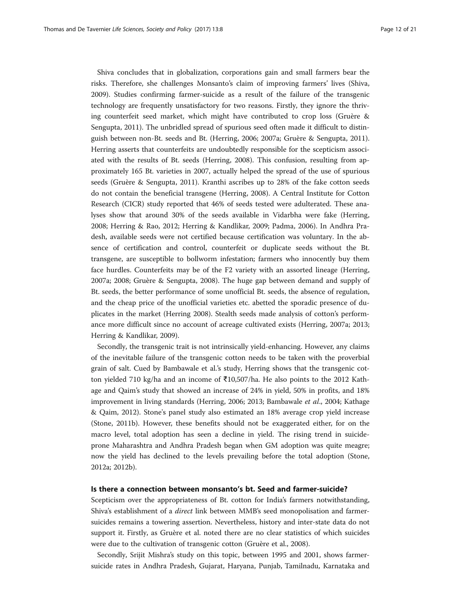Shiva concludes that in globalization, corporations gain and small farmers bear the risks. Therefore, she challenges Monsanto's claim of improving farmers' lives (Shiva, [2009](#page-19-0)). Studies confirming farmer-suicide as a result of the failure of the transgenic technology are frequently unsatisfactory for two reasons. Firstly, they ignore the thriving counterfeit seed market, which might have contributed to crop loss (Gruère & Sengupta, [2011](#page-17-0)). The unbridled spread of spurious seed often made it difficult to distinguish between non-Bt. seeds and Bt. (Herring, [2006; 2007a](#page-17-0); Gruère & Sengupta, [2011](#page-17-0)). Herring asserts that counterfeits are undoubtedly responsible for the scepticism associated with the results of Bt. seeds (Herring, [2008\)](#page-17-0). This confusion, resulting from approximately 165 Bt. varieties in 2007, actually helped the spread of the use of spurious seeds (Gruère & Sengupta, [2011](#page-17-0)). Kranthi ascribes up to 28% of the fake cotton seeds do not contain the beneficial transgene (Herring, [2008\)](#page-17-0). A Central Institute for Cotton Research (CICR) study reported that 46% of seeds tested were adulterated. These analyses show that around 30% of the seeds available in Vidarbha were fake (Herring, [2008](#page-17-0); Herring & Rao, [2012;](#page-18-0) Herring & Kandlikar, [2009](#page-18-0); Padma, [2006\)](#page-19-0). In Andhra Pradesh, available seeds were not certified because certification was voluntary. In the absence of certification and control, counterfeit or duplicate seeds without the Bt. transgene, are susceptible to bollworm infestation; farmers who innocently buy them face hurdles. Counterfeits may be of the F2 variety with an assorted lineage (Herring, [2007a; 2008; Gruère & Sengupta, 2008](#page-17-0)). The huge gap between demand and supply of Bt. seeds, the better performance of some unofficial Bt. seeds, the absence of regulation, and the cheap price of the unofficial varieties etc. abetted the sporadic presence of duplicates in the market (Herring [2008](#page-17-0)). Stealth seeds made analysis of cotton's performance more difficult since no account of acreage cultivated exists (Herring, [2007a](#page-17-0); [2013](#page-17-0); Herring & Kandlikar, [2009](#page-18-0)).

Secondly, the transgenic trait is not intrinsically yield-enhancing. However, any claims of the inevitable failure of the transgenic cotton needs to be taken with the proverbial grain of salt. Cued by Bambawale et al.'s study, Herring shows that the transgenic cotton yielded 710 kg/ha and an income of ₹10,507/ha. He also points to the 2012 Kathage and Qaim's study that showed an increase of 24% in yield, 50% in profits, and 18% improvement in living standards (Herring, [2006](#page-17-0); [2013](#page-17-0); Bambawale et al., [2004](#page-17-0); Kathage & Qaim, [2012\)](#page-18-0). Stone's panel study also estimated an 18% average crop yield increase (Stone, [2011b](#page-20-0)). However, these benefits should not be exaggerated either, for on the macro level, total adoption has seen a decline in yield. The rising trend in suicideprone Maharashtra and Andhra Pradesh began when GM adoption was quite meagre; now the yield has declined to the levels prevailing before the total adoption (Stone, [2012a; 2012b](#page-20-0)).

#### Is there a connection between monsanto's bt. Seed and farmer-suicide?

Scepticism over the appropriateness of Bt. cotton for India's farmers notwithstanding, Shiva's establishment of a direct link between MMB's seed monopolisation and farmersuicides remains a towering assertion. Nevertheless, history and inter-state data do not support it. Firstly, as Gruère et al. noted there are no clear statistics of which suicides were due to the cultivation of transgenic cotton (Gruère et al., [2008](#page-17-0)).

Secondly, Srijit Mishra's study on this topic, between 1995 and 2001, shows farmersuicide rates in Andhra Pradesh, Gujarat, Haryana, Punjab, Tamilnadu, Karnataka and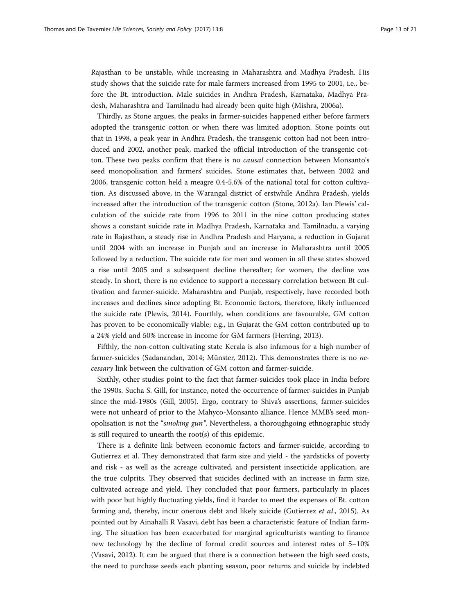Rajasthan to be unstable, while increasing in Maharashtra and Madhya Pradesh. His study shows that the suicide rate for male farmers increased from 1995 to 2001, i.e., before the Bt. introduction. Male suicides in Andhra Pradesh, Karnataka, Madhya Pradesh, Maharashtra and Tamilnadu had already been quite high (Mishra, [2006a\)](#page-18-0).

Thirdly, as Stone argues, the peaks in farmer-suicides happened either before farmers adopted the transgenic cotton or when there was limited adoption. Stone points out that in 1998, a peak year in Andhra Pradesh, the transgenic cotton had not been introduced and 2002, another peak, marked the official introduction of the transgenic cotton. These two peaks confirm that there is no causal connection between Monsanto's seed monopolisation and farmers' suicides. Stone estimates that, between 2002 and 2006, transgenic cotton held a meagre 0.4-5.6% of the national total for cotton cultivation. As discussed above, in the Warangal district of erstwhile Andhra Pradesh, yields increased after the introduction of the transgenic cotton (Stone, [2012a](#page-20-0)). Ian Plewis' calculation of the suicide rate from 1996 to 2011 in the nine cotton producing states shows a constant suicide rate in Madhya Pradesh, Karnataka and Tamilnadu, a varying rate in Rajasthan, a steady rise in Andhra Pradesh and Haryana, a reduction in Gujarat until 2004 with an increase in Punjab and an increase in Maharashtra until 2005 followed by a reduction. The suicide rate for men and women in all these states showed a rise until 2005 and a subsequent decline thereafter; for women, the decline was steady. In short, there is no evidence to support a necessary correlation between Bt cultivation and farmer-suicide. Maharashtra and Punjab, respectively, have recorded both increases and declines since adopting Bt. Economic factors, therefore, likely influenced the suicide rate (Plewis, [2014\)](#page-19-0). Fourthly, when conditions are favourable, GM cotton has proven to be economically viable; e.g., in Gujarat the GM cotton contributed up to a 24% yield and 50% increase in income for GM farmers (Herring, [2013](#page-17-0)).

Fifthly, the non-cotton cultivating state Kerala is also infamous for a high number of farmer-suicides (Sadanandan, [2014;](#page-19-0) Münster, [2012](#page-18-0)). This demonstrates there is no necessary link between the cultivation of GM cotton and farmer-suicide.

Sixthly, other studies point to the fact that farmer-suicides took place in India before the 1990s. Sucha S. Gill, for instance, noted the occurrence of farmer-suicides in Punjab since the mid-1980s (Gill, [2005](#page-17-0)). Ergo, contrary to Shiva's assertions, farmer-suicides were not unheard of prior to the Mahyco-Monsanto alliance. Hence MMB's seed monopolisation is not the "smoking gun". Nevertheless, a thoroughgoing ethnographic study is still required to unearth the root(s) of this epidemic.

There is a definite link between economic factors and farmer-suicide, according to Gutierrez et al. They demonstrated that farm size and yield - the yardsticks of poverty and risk - as well as the acreage cultivated, and persistent insecticide application, are the true culprits. They observed that suicides declined with an increase in farm size, cultivated acreage and yield. They concluded that poor farmers, particularly in places with poor but highly fluctuating yields, find it harder to meet the expenses of Bt. cotton farming and, thereby, incur onerous debt and likely suicide (Gutierrez et al., [2015](#page-17-0)). As pointed out by Ainahalli R Vasavi, debt has been a characteristic feature of Indian farming. The situation has been exacerbated for marginal agriculturists wanting to finance new technology by the decline of formal credit sources and interest rates of 5–10% (Vasavi, [2012\)](#page-20-0). It can be argued that there is a connection between the high seed costs, the need to purchase seeds each planting season, poor returns and suicide by indebted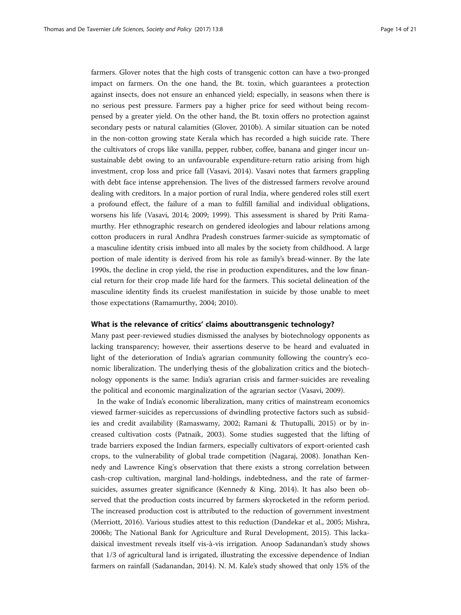farmers. Glover notes that the high costs of transgenic cotton can have a two-pronged impact on farmers. On the one hand, the Bt. toxin, which guarantees a protection against insects, does not ensure an enhanced yield; especially, in seasons when there is no serious pest pressure. Farmers pay a higher price for seed without being recompensed by a greater yield. On the other hand, the Bt. toxin offers no protection against secondary pests or natural calamities (Glover, [2010b](#page-17-0)). A similar situation can be noted in the non-cotton growing state Kerala which has recorded a high suicide rate. There the cultivators of crops like vanilla, pepper, rubber, coffee, banana and ginger incur unsustainable debt owing to an unfavourable expenditure-return ratio arising from high investment, crop loss and price fall (Vasavi, [2014\)](#page-20-0). Vasavi notes that farmers grappling with debt face intense apprehension. The lives of the distressed farmers revolve around dealing with creditors. In a major portion of rural India, where gendered roles still exert a profound effect, the failure of a man to fulfill familial and individual obligations, worsens his life (Vasavi, [2014; 2009; 1999\)](#page-20-0). This assessment is shared by Priti Ramamurthy. Her ethnographic research on gendered ideologies and labour relations among cotton producers in rural Andhra Pradesh construes farmer-suicide as symptomatic of a masculine identity crisis imbued into all males by the society from childhood. A large portion of male identity is derived from his role as family's bread-winner. By the late 1990s, the decline in crop yield, the rise in production expenditures, and the low financial return for their crop made life hard for the farmers. This societal delineation of the masculine identity finds its cruelest manifestation in suicide by those unable to meet those expectations (Ramamurthy, [2004](#page-19-0); [2010\)](#page-19-0).

#### What is the relevance of critics' claims abouttransgenic technology?

Many past peer-reviewed studies dismissed the analyses by biotechnology opponents as lacking transparency; however, their assertions deserve to be heard and evaluated in light of the deterioration of India's agrarian community following the country's economic liberalization. The underlying thesis of the globalization critics and the biotechnology opponents is the same: India's agrarian crisis and farmer-suicides are revealing the political and economic marginalization of the agrarian sector (Vasavi, [2009](#page-20-0)).

In the wake of India's economic liberalization, many critics of mainstream economics viewed farmer-suicides as repercussions of dwindling protective factors such as subsidies and credit availability (Ramaswamy, [2002](#page-19-0); Ramani & Thutupalli, [2015](#page-19-0)) or by increased cultivation costs (Patnaik, [2003\)](#page-19-0). Some studies suggested that the lifting of trade barriers exposed the Indian farmers, especially cultivators of export-oriented cash crops, to the vulnerability of global trade competition (Nagaraj, [2008](#page-18-0)). Jonathan Kennedy and Lawrence King's observation that there exists a strong correlation between cash-crop cultivation, marginal land-holdings, indebtedness, and the rate of farmersuicides, assumes greater significance (Kennedy & King, [2014\)](#page-18-0). It has also been observed that the production costs incurred by farmers skyrocketed in the reform period. The increased production cost is attributed to the reduction of government investment (Merriott, [2016\)](#page-18-0). Various studies attest to this reduction (Dandekar et al., [2005](#page-17-0); Mishra, [2006b](#page-18-0); [The National Bank for Agriculture and Rural Development, 2015](#page-20-0)). This lackadaisical investment reveals itself vis-à-vis irrigation. Anoop Sadanandan's study shows that 1/3 of agricultural land is irrigated, illustrating the excessive dependence of Indian farmers on rainfall (Sadanandan, [2014](#page-19-0)). N. M. Kale's study showed that only 15% of the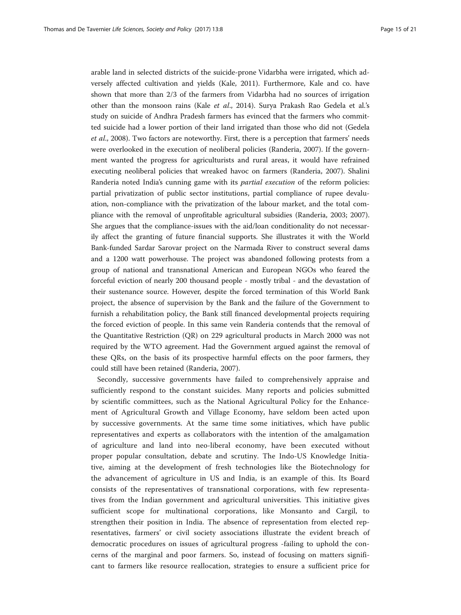arable land in selected districts of the suicide-prone Vidarbha were irrigated, which adversely affected cultivation and yields (Kale, [2011\)](#page-18-0). Furthermore, Kale and co. have shown that more than 2/3 of the farmers from Vidarbha had no sources of irrigation other than the monsoon rains (Kale et al., [2014\)](#page-18-0). Surya Prakash Rao Gedela et al.'s study on suicide of Andhra Pradesh farmers has evinced that the farmers who committed suicide had a lower portion of their land irrigated than those who did not (Gedela et al., [2008\)](#page-17-0). Two factors are noteworthy. First, there is a perception that farmers' needs were overlooked in the execution of neoliberal policies (Randeria, [2007](#page-19-0)). If the government wanted the progress for agriculturists and rural areas, it would have refrained executing neoliberal policies that wreaked havoc on farmers (Randeria, [2007](#page-19-0)). Shalini Randeria noted India's cunning game with its *partial execution* of the reform policies: partial privatization of public sector institutions, partial compliance of rupee devaluation, non-compliance with the privatization of the labour market, and the total compliance with the removal of unprofitable agricultural subsidies (Randeria, [2003; 2007](#page-19-0)). She argues that the compliance-issues with the aid/loan conditionality do not necessarily affect the granting of future financial supports. She illustrates it with the World Bank-funded Sardar Sarovar project on the Narmada River to construct several dams and a 1200 watt powerhouse. The project was abandoned following protests from a group of national and transnational American and European NGOs who feared the forceful eviction of nearly 200 thousand people - mostly tribal - and the devastation of their sustenance source. However, despite the forced termination of this World Bank project, the absence of supervision by the Bank and the failure of the Government to furnish a rehabilitation policy, the Bank still financed developmental projects requiring the forced eviction of people. In this same vein Randeria contends that the removal of the Quantitative Restriction (QR) on 229 agricultural products in March 2000 was not required by the WTO agreement. Had the Government argued against the removal of these QRs, on the basis of its prospective harmful effects on the poor farmers, they could still have been retained (Randeria, [2007\)](#page-19-0).

Secondly, successive governments have failed to comprehensively appraise and sufficiently respond to the constant suicides. Many reports and policies submitted by scientific committees, such as the National Agricultural Policy for the Enhancement of Agricultural Growth and Village Economy, have seldom been acted upon by successive governments. At the same time some initiatives, which have public representatives and experts as collaborators with the intention of the amalgamation of agriculture and land into neo-liberal economy, have been executed without proper popular consultation, debate and scrutiny. The Indo-US Knowledge Initiative, aiming at the development of fresh technologies like the Biotechnology for the advancement of agriculture in US and India, is an example of this. Its Board consists of the representatives of transnational corporations, with few representatives from the Indian government and agricultural universities. This initiative gives sufficient scope for multinational corporations, like Monsanto and Cargil, to strengthen their position in India. The absence of representation from elected representatives, farmers' or civil society associations illustrate the evident breach of democratic procedures on issues of agricultural progress -failing to uphold the concerns of the marginal and poor farmers. So, instead of focusing on matters significant to farmers like resource reallocation, strategies to ensure a sufficient price for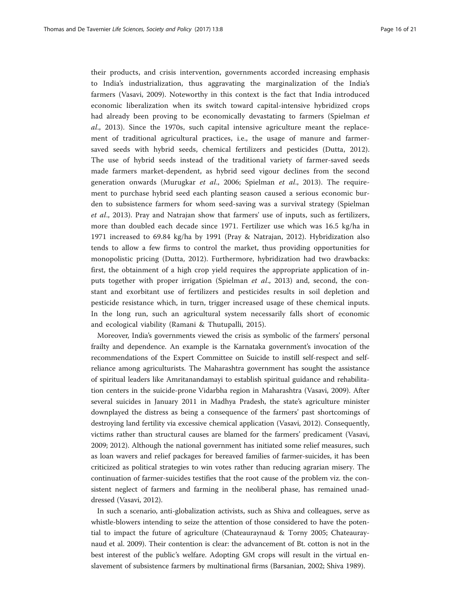their products, and crisis intervention, governments accorded increasing emphasis to India's industrialization, thus aggravating the marginalization of the India's farmers (Vasavi, [2009](#page-20-0)). Noteworthy in this context is the fact that India introduced economic liberalization when its switch toward capital-intensive hybridized crops had already been proving to be economically devastating to farmers (Spielman et al., [2013\)](#page-20-0). Since the 1970s, such capital intensive agriculture meant the replacement of traditional agricultural practices, i.e., the usage of manure and farmersaved seeds with hybrid seeds, chemical fertilizers and pesticides (Dutta, [2012](#page-17-0)). The use of hybrid seeds instead of the traditional variety of farmer-saved seeds made farmers market-dependent, as hybrid seed vigour declines from the second generation onwards (Murugkar et al., [2006](#page-18-0); Spielman et al., [2013](#page-20-0)). The requirement to purchase hybrid seed each planting season caused a serious economic burden to subsistence farmers for whom seed-saving was a survival strategy (Spielman et al., [2013](#page-20-0)). Pray and Natrajan show that farmers' use of inputs, such as fertilizers, more than doubled each decade since 1971. Fertilizer use which was 16.5 kg/ha in 1971 increased to 69.84 kg/ha by 1991 (Pray & Natrajan, [2012](#page-19-0)). Hybridization also tends to allow a few firms to control the market, thus providing opportunities for monopolistic pricing (Dutta, 2012). Furthermore, hybridization had two drawbacks: first, the obtainment of a high crop yield requires the appropriate application of in-puts together with proper irrigation (Spielman et al., [2013\)](#page-20-0) and, second, the constant and exorbitant use of fertilizers and pesticides results in soil depletion and pesticide resistance which, in turn, trigger increased usage of these chemical inputs. In the long run, such an agricultural system necessarily falls short of economic and ecological viability (Ramani & Thutupalli, [2015](#page-19-0)).

Moreover, India's governments viewed the crisis as symbolic of the farmers' personal frailty and dependence. An example is the Karnataka government's invocation of the recommendations of the Expert Committee on Suicide to instill self-respect and selfreliance among agriculturists. The Maharashtra government has sought the assistance of spiritual leaders like Amritanandamayi to establish spiritual guidance and rehabilitation centers in the suicide-prone Vidarbha region in Maharashtra (Vasavi, [2009\)](#page-20-0). After several suicides in January 2011 in Madhya Pradesh, the state's agriculture minister downplayed the distress as being a consequence of the farmers' past shortcomings of destroying land fertility via excessive chemical application (Vasavi, 2012). Consequently, victims rather than structural causes are blamed for the farmers' predicament (Vasavi, [2009](#page-20-0); 2012). Although the national government has initiated some relief measures, such as loan wavers and relief packages for bereaved families of farmer-suicides, it has been criticized as political strategies to win votes rather than reducing agrarian misery. The continuation of farmer-suicides testifies that the root cause of the problem viz. the consistent neglect of farmers and farming in the neoliberal phase, has remained unaddressed (Vasavi, 2012).

In such a scenario, anti-globalization activists, such as Shiva and colleagues, serve as whistle-blowers intending to seize the attention of those considered to have the potential to impact the future of agriculture (Chateauraynaud & Torny [2005](#page-17-0); Chateauraynaud et al. [2009\)](#page-17-0). Their contention is clear: the advancement of Bt. cotton is not in the best interest of the public's welfare. Adopting GM crops will result in the virtual enslavement of subsistence farmers by multinational firms (Barsanian, [2002](#page-17-0); Shiva [1989\)](#page-19-0).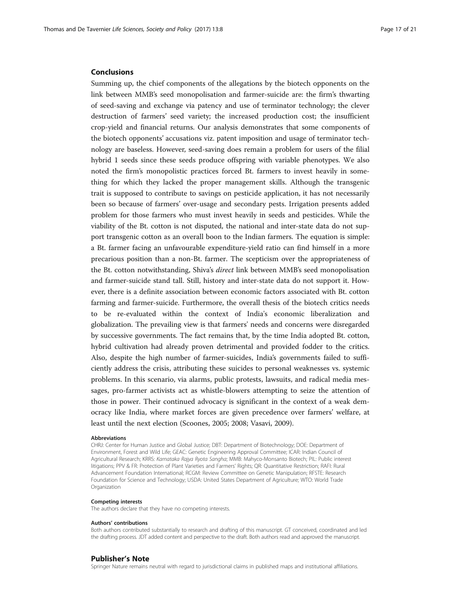### Conclusions

Summing up, the chief components of the allegations by the biotech opponents on the link between MMB's seed monopolisation and farmer-suicide are: the firm's thwarting of seed-saving and exchange via patency and use of terminator technology; the clever destruction of farmers' seed variety; the increased production cost; the insufficient crop-yield and financial returns. Our analysis demonstrates that some components of the biotech opponents' accusations viz. patent imposition and usage of terminator technology are baseless. However, seed-saving does remain a problem for users of the filial hybrid 1 seeds since these seeds produce offspring with variable phenotypes. We also noted the firm's monopolistic practices forced Bt. farmers to invest heavily in something for which they lacked the proper management skills. Although the transgenic trait is supposed to contribute to savings on pesticide application, it has not necessarily been so because of farmers' over-usage and secondary pests. Irrigation presents added problem for those farmers who must invest heavily in seeds and pesticides. While the viability of the Bt. cotton is not disputed, the national and inter-state data do not support transgenic cotton as an overall boon to the Indian farmers. The equation is simple: a Bt. farmer facing an unfavourable expenditure-yield ratio can find himself in a more precarious position than a non-Bt. farmer. The scepticism over the appropriateness of the Bt. cotton notwithstanding, Shiva's direct link between MMB's seed monopolisation and farmer-suicide stand tall. Still, history and inter-state data do not support it. However, there is a definite association between economic factors associated with Bt. cotton farming and farmer-suicide. Furthermore, the overall thesis of the biotech critics needs to be re-evaluated within the context of India's economic liberalization and globalization. The prevailing view is that farmers' needs and concerns were disregarded by successive governments. The fact remains that, by the time India adopted Bt. cotton, hybrid cultivation had already proven detrimental and provided fodder to the critics. Also, despite the high number of farmer-suicides, India's governments failed to sufficiently address the crisis, attributing these suicides to personal weaknesses vs. systemic problems. In this scenario, via alarms, public protests, lawsuits, and radical media messages, pro-farmer activists act as whistle-blowers attempting to seize the attention of those in power. Their continued advocacy is significant in the context of a weak democracy like India, where market forces are given precedence over farmers' welfare, at least until the next election (Scoones, [2005](#page-19-0); [2008;](#page-19-0) Vasavi, [2009](#page-20-0)).

#### Abbreviations

CHRJ: Center for Human Justice and Global Justice; DBT: Department of Biotechnology; DOE: Department of Environment, Forest and Wild Life; GEAC: Genetic Engineering Approval Committee; ICAR: Indian Council of Agricultural Research; KRRS: Karnataka Rajya Ryota Sangha; MMB: Mahyco-Monsanto Biotech; PIL: Public interest litigations; PPV & FR: Protection of Plant Varieties and Farmers' Rights; QR: Quantitative Restriction; RAFI: Rural Advancement Foundation International; RCGM: Review Committee on Genetic Manipulation; RFSTE: Research Foundation for Science and Technology; USDA: United States Department of Agriculture; WTO: World Trade Organization

#### Competing interests

The authors declare that they have no competing interests.

#### Authors' contributions

Both authors contributed substantially to research and drafting of this manuscript. GT conceived, coordinated and led the drafting process. JDT added content and perspective to the draft. Both authors read and approved the manuscript.

#### Publisher's Note

Springer Nature remains neutral with regard to jurisdictional claims in published maps and institutional affiliations.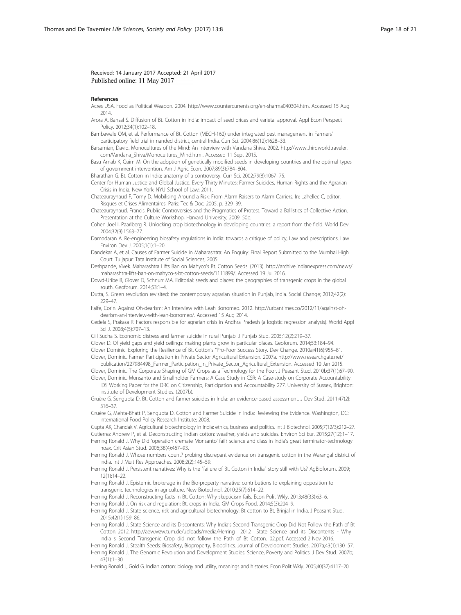#### <span id="page-17-0"></span>Received: 14 January 2017 Accepted: 21 April 2017 Published online: 11 May 2017

#### References

Acres USA. Food as Political Weapon. 2004.<http://www.countercurrents.org/en-sharma040304.htm>. Accessed 15 Aug 2014.

Arora A, Bansal S. Diffusion of Bt. Cotton in India: impact of seed prices and varietal approval. Appl Econ Perspect Policy. 2012;34(1):102–18.

Bambawale OM, et al. Performance of Bt. Cotton (MECH-162) under integrated pest management in Farmers' participatory field trial in nanded district, central India. Curr Sci. 2004;86(12):1628–33.

Barsamian, David. Monocultures of the Mind: An Interview with Vandana Shiva. 2002. [http://www.thirdworldtraveler.](http://www.thirdworldtraveler.com/Vandana_Shiva/Monocultures_Mind.html) [com/Vandana\\_Shiva/Monocultures\\_Mind.html.](http://www.thirdworldtraveler.com/Vandana_Shiva/Monocultures_Mind.html) Accessed 11 Sept 2015.

Basu Arnab K, Qaim M. On the adoption of genetically modified seeds in developing countries and the optimal types of government intervention. Am J Agric Econ. 2007;89(3):784–804.

Bharathan G. Bt. Cotton in India: anatomy of a controversy. Curr Sci. 2002;79(8):1067–75.

Center for Human Justice and Global Justice. Every Thirty Minutes: Farmer Suicides, Human Rights and the Agrarian Crisis in India. New York: NYU School of Law; 2011.

Chateauraynaud F, Torny D. Mobilising Around a Risk: From Alarm Raisers to Alarm Carriers. In: Lahellec C, editor. Risques et Crises Alimentaires. Paris: Tec & Doc; 2005. p. 329–39.

Chateauraynaud, Francis. Public Controversies and the Pragmatics of Protest. Toward a Ballistics of Collective Action. Presentation at the Culture Workshop, Harvard University; 2009. 50p.

Cohen Joel I, Paarlberg R. Unlocking crop biotechnology in developing countries: a report from the field. World Dev. 2004;32(9):1563–77.

Damodaran A. Re-engineering biosafety regulations in India: towards a critique of policy, Law and prescriptions. Law Environ Dev J. 2005;1(1):1–20.

Dandekar A, et al. Causes of Farmer Suicide in Maharashtra: An Enquiry: Final Report Submitted to the Mumbai High Court. Tuljapur: Tata Institute of Social Sciences; 2005.

Deshpande, Vivek. Maharashtra Lifts Ban on Mahyco's Bt. Cotton Seeds. (2013). [http://archive.indianexpress.com/news/](http://archive.indianexpress.com/news/maharashtra-lifts-ban-on-mahyco-s-bt-cotton-seeds/1111899/) [maharashtra-lifts-ban-on-mahyco-s-bt-cotton-seeds/1111899/.](http://archive.indianexpress.com/news/maharashtra-lifts-ban-on-mahyco-s-bt-cotton-seeds/1111899/) Accessed 19 Jul 2016.

Dowd-Uribe B, Glover D, Schnurr MA. Editorial: seeds and places: the geographies of transgenic crops in the global south. Geoforum. 2014;53:1–4.

Dutta, S. Green revolution revisited: the contemporary agrarian situation in Punjab, India. Social Change; 2012;42(2): 229–47.

Faife, Corin. Against Oh-dearism: An Interview with Leah Borromeo. 2012. [http://urbantimes.co/2012/11/against-oh](http://urbantimes.co/2012/11/against-oh-dearism-an-interview-with-leah-borromeo/)[dearism-an-interview-with-leah-borromeo/.](http://urbantimes.co/2012/11/against-oh-dearism-an-interview-with-leah-borromeo/) Accessed 15 Aug 2014.

Gedela S, Prakasa R. Factors responsible for agrarian crisis in Andhra Pradesh (a logistic regression analysis). World Appl Sci J. 2008;4(5):707–13.

Gill Sucha S. Economic distress and farmer suicide in rural Punjab. J Punjab Stud. 2005;12(2):219–37.

Glover D. Of yield gaps and yield ceilings: making plants grow in particular places. Geoforum. 2014;53:184–94.

Glover Dominic. Exploring the Resilience of Bt. Cotton's "Pro-Poor Success Story. Dev Change. 2010a;41(6):955–81.

Glover, Dominic. Farmer Participation in Private Sector Agricultural Extension. 2007a. [http://www.researchgate.net/](http://www.researchgate.net/publication/227984498_Farmer_Participation_in_Private_Sector_Agricultural_Extension) [publication/227984498\\_Farmer\\_Participation\\_in\\_Private\\_Sector\\_Agricultural\\_Extension.](http://www.researchgate.net/publication/227984498_Farmer_Participation_in_Private_Sector_Agricultural_Extension) Accessed 10 Jan 2015.

Glover, Dominic. The Corporate Shaping of GM Crops as a Technology for the Poor. J Peasant Stud. 2010b;37(1):67–90. Glover, Dominic. Monsanto and Smallholder Farmers: A Case Study in CSR: A Case-study on Corporate Accountability.

IDS Working Paper for the DRC on Citizenship, Participation and Accountability 277. University of Sussex, Brighton: Institute of Development Studies. (2007b).

Gruère G, Sengupta D. Bt. Cotton and farmer suicides in India: an evidence-based assessment. J Dev Stud. 2011;47(2): 316–37.

Gruère G, Mehta-Bhatt P, Sengupta D. Cotton and Farmer Suicide in India: Reviewing the Evidence. Washington, DC: International Food Policy Research Institute; 2008.

Gupta AK, Chandak V. Agricultural biotechnology in India: ethics, business and politics. Int J Biotechnol. 2005;7(12/3):212–27.

Gutierrez Andrew P, et al. Deconstructing Indian cotton: weather, yields and suicides. Environ Sci Eur. 2015;27(12):1–17. Herring Ronald J. Why Did 'operation cremate Monsanto' fail? science and class in India's great terminator-technology hoax. Crit Asian Stud. 2006;38(4):467–93.

Herring Ronald J. Whose numbers count? probing discrepant evidence on transgenic cotton in the Warangal district of India. Int J Mult Res Approaches. 2008;2(2):145–59.

Herring Ronald J. Persistent narratives: Why is the "failure of Bt. Cotton in India" story still with Us? AgBioforum. 2009; 12(1):14–22.

Herring Ronald J. Epistemic brokerage in the Bio-property narrative: contributions to explaining opposition to transgenic technologies in agriculture. New Biotechnol. 2010;25(7):614–22.

Herring Ronald J. Reconstructing facts in Bt. Cotton: Why skepticism fails. Econ Polit Wkly. 2013;48(33):63–6.

Herring Ronald J. On risk and regulation: Bt. crops in India. GM Crops Food. 2014;5(3):204–9.

Herring Ronald J. State science, risk and agricultural biotechnology: Bt cotton to Bt. Brinjal in India. J Peasant Stud. 2015;42(1):159–86.

Herring Ronald J. State Science and its Discontents: Why India's Second Transgenic Crop Did Not Follow the Path of Bt Cotton. 2012. [http://aew.wzw.tum.de/uploads/media/Herring\\_\\_2012\\_\\_State\\_Science\\_and\\_its\\_Discontents\\_-\\_Why\\_](http://aew.wzw.tum.de/uploads/media/Herring__2012__State_Science_and_its_Discontents_-_Why_India_s_Second_Transgenic_Crop_did_not_follow_the_Path_of_Bt_Cotton._02.pdf) [India\\_s\\_Second\\_Transgenic\\_Crop\\_did\\_not\\_follow\\_the\\_Path\\_of\\_Bt\\_Cotton.\\_02.pdf](http://aew.wzw.tum.de/uploads/media/Herring__2012__State_Science_and_its_Discontents_-_Why_India_s_Second_Transgenic_Crop_did_not_follow_the_Path_of_Bt_Cotton._02.pdf). Accessed 2 Nov 2016.

Herring Ronald J. Stealth Seeds: Biosafety, Bioproperty, Biopolitics. Journal of Development Studies. 2007a;43(1):130–57. Herring Ronald J. The Genomic Revolution and Development Studies: Science, Poverty and Politics. J Dev Stud. 2007b; 43(1):1–30.

Herring Ronald J, Gold G. Indian cotton: biology and utility, meanings and histories. Econ Polit Wkly. 2005;40(37):4117–20.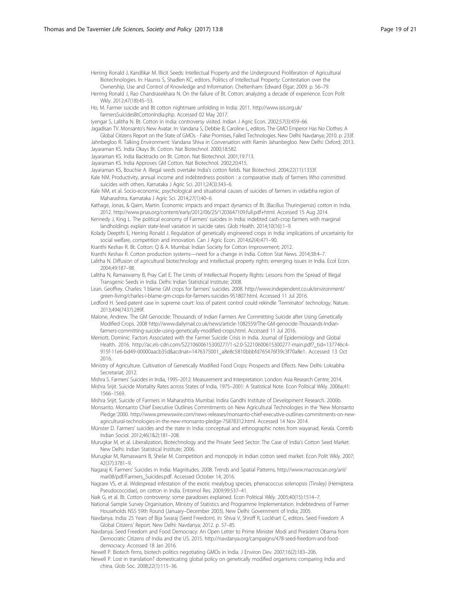<span id="page-18-0"></span>Herring Ronald J, Kandlikar M. Illicit Seeds: Intellectual Property and the Underground Proliferation of Agricultural Biotechnologies. In: Haunss S, Shadlen KC, editors. Politics of Intellectual Property: Contestation over the Ownership, Use and Control of Knowledge and Information. Cheltenham: Edward Elgar; 2009. p. 56–79.

Herring Ronald J, Rao Chandrasekhara N. On the failure of Bt. Cotton: analyzing a decade of experience. Econ Polit Wkly. 2012;47(18):45–53.

Ho, M. Farmer suicide and Bt cotton nightmare unfolding in India: 2011. [http://www.isis.org.uk/](http://www.isis.org.uk/farmersSuicidesBtCottonIndia.php) [farmersSuicidesBtCottonIndia.php](http://www.isis.org.uk/farmersSuicidesBtCottonIndia.php). Accessed 02 May 2017.

Iyengar S, Lalitha N. Bt. Cotton in India: controversy visited. Indian J Agric Econ. 2002;57(3):459–66.

Jagadisan TV. Monsanto's New Avatar. In: Vandana S, Debbie B, Caroline L, editors. The GMO Emperor Has No Clothes: A Global Citizens Report on the State of GMOs - False Promises, Failed Technologies. New Delhi: Navdanya; 2010. p. 233f.

Jahnbegloo R. Talking Environment: Vandana Shiva in Conversation with Ramin Jahanbegloo. New Delhi: Oxford; 2013. Jayaraman KS. India Okays Bt. Cotton. Nat Biotechnol. 2000;18:582.

Jayaraman KS. India Backtracks on Bt. Cotton. Nat Biotechnol. 2001;19:713.

Jayaraman KS. India Approves GM Cotton. Nat Biotechnol. 2002;20:415.

Jayaraman KS, Bouchie A. Illegal seeds overtake India's cotton fields. Nat Biotechnol. 2004;22(11):1333f.

Kale NM. Productivity, annual income and indebtedness position : a comparative study of farmers Who committed suicides with others. Karnataka J Agric Sci. 2011;24(3):343–6.

Kale NM, et al. Socio-economic, psychological and situational causes of suicides of farmers in vidarbha region of Maharashtra. Karnataka J Agric Sci. 2014;27(1):40–6.

Kathage, Jonas, & Qaim, Martin. Economic impacts and impact dynamics of Bt. (Bacillus Thuringiensis) cotton in India. 2012. [http://www.pnas.org/content/early/2012/06/25/1203647109.full.pdf+html.](http://www.pnas.org/content/early/2012/06/25/1203647109.full.pdf+html) Accessed 15 Aug 2014.

Kennedy J, King L. The political economy of Farmers' suicides in India: indebted cash-crop farmers with marginal landholdings explain state-level variation in suicide rates. Glob Health. 2014;10(16):1–9.

Kolady Deepthi E, Herring Ronald J. Regulation of genetically engineered crops in India: implications of uncertainty for social welfare, competition and innovation. Can J Agric Econ. 2014;62(4):471–90.

Kranthi Keshav R. Bt. Cotton: Q & A. Mumbai: Indian Society for Cotton Improvement; 2012.

Kranthi Keshav R. Cotton production systems—need for a change in India. Cotton Stat News. 2014;38:4–7.

Lalitha N. Diffusion of agricultural biotechnology and intellectual property rights: emerging issues in India. Ecol Econ. 2004;49:187–98.

Lalitha N, Ramaswamy B, Pray Carl E. The Limits of Intellectual Property Rights: Lessons from the Spread of Illegal Transgenic Seeds in India. Delhi: Indian Statistical Institute; 2008.

Lean, Geoffrey. Charles: 'I blame GM crops for farmers' suicides. 2008. [http://www.independent.co.uk/environment/](http://www.independent.co.uk/environment/green-living/charles-i-blame-gm-crops-for-farmers-suicides-951807.html) [green-living/charles-i-blame-gm-crops-for-farmers-suicides-951807.html](http://www.independent.co.uk/environment/green-living/charles-i-blame-gm-crops-for-farmers-suicides-951807.html). Accessed 11 Jul 2016.

Ledford H. Seed-patent case in supreme court: loss of patent control could rekindle 'Terminator' technology. Nature. 2013;494(7437):289f.

Malone, Andrew. The GM Genocide: Thousands of Indian Farmers Are Committing Suicide after Using Genetically Modified Crops. 2008 [http://www.dailymail.co.uk/news/article-1082559/The-GM-genocide-Thousands-Indian](http://www.dailymail.co.uk/news/article-1082559/The-GM-genocide-Thousands-Indian-farmers-committing-suicide-using-genetically-modified-crops.html)[farmers-committing-suicide-using-genetically-modified-crops.html](http://www.dailymail.co.uk/news/article-1082559/The-GM-genocide-Thousands-Indian-farmers-committing-suicide-using-genetically-modified-crops.html). Accessed 11 Jul 2016.

Merriott, Dominic. Factors Associated with the Farmer Suicide Crisis in India. Journal of Epidemiology and Global Health. 2016. [http://ac.els-cdn.com/S2210600615300277/1-s2.0-S2210600615300277-main.pdf?\\_tid=137746c4-](http://ac.els-cdn.com/S2210600615300277/1-s2.0-S2210600615300277-main.pdf?_tid=137746c4-915f-11e6-bd49-00000aacb35d&acdnat=1476375001_a8e8c5810bbbfd765476f39c3f70a8e1) [915f-11e6-bd49-00000aacb35d&acdnat=1476375001\\_a8e8c5810bbbfd765476f39c3f70a8e1.](http://ac.els-cdn.com/S2210600615300277/1-s2.0-S2210600615300277-main.pdf?_tid=137746c4-915f-11e6-bd49-00000aacb35d&acdnat=1476375001_a8e8c5810bbbfd765476f39c3f70a8e1) Accessed 13 Oct 2016.

Ministry of Agriculture. Cultivation of Genetically Modified Food Crops: Prospects and Effects. New Delhi: Loksabha Secretariat; 2012.

Mishra S. Farmers' Suicides in India, 1995–2012: Measurement and Interpretation. London: Asia Research Centre; 2014.

Mishra Srijit. Suicide Mortality Rates across States of India, 1975–2001: A Statistical Note. Econ Political Wkly. 2006a;41: 1566–1569.

Mishra Srijit. Suicide of Farmers in Maharashtra Mumbai: Indira Gandhi Institute of Development Research. 2006b.

Monsanto. Monsanto Chief Executive Outlines Commitments on New Agricultural Technologies in the 'New Monsanto Pledge.'2000. [http://www.prnewswire.com/news-releases/monsanto-chief-executive-outlines-commitments-on-new](http://www.prnewswire.com/news-releases/monsanto-chief-executive-outlines-commitments-on-new-agricultural-technologies-in-the-new-monsanto-pledge-75878312.html)[agricultural-technologies-in-the-new-monsanto-pledge-75878312.html.](http://www.prnewswire.com/news-releases/monsanto-chief-executive-outlines-commitments-on-new-agricultural-technologies-in-the-new-monsanto-pledge-75878312.html) Accessed 14 Nov 2014.

Münster D. Farmers' suicides and the state in India: conceptual and ethnographic notes from wayanad, Kerala. Contrib Indian Sociol. 2012;46(1&2):181–208.

Murugkar M, et al. Liberalization, Biotechnology and the Private Seed Sector: The Case of India's Cotton Seed Market. New Delhi: Indian Statistical Institute; 2006.

Murugkar M, Ramaswami B, Shelar M. Competition and monopoly in Indian cotton seed market. Econ Polit Wkly. 2007; 42(37):3781–9.

Nagaraj K. Farmers' Suicides in India: Magnitudes. 2008. Trends and Spatial Patterns, [http://www.macroscan.org/anl/](http://www.macroscan.org/anl/mar08/pdf/Farmers_Suicides.pdf) [mar08/pdf/Farmers\\_Suicides.pdf.](http://www.macroscan.org/anl/mar08/pdf/Farmers_Suicides.pdf) Accessed October 14, 2016.

Nagrare VS, et al. Widespread infestation of the exotic mealybug species, phenacoccus solenopsis (Tinsley) (Hemiptera: Pseudococcidae), on cotton in India. Entomol Res. 2009;99:537–41.

Naik G, et al. Bt. Cotton controversy: some paradoxes explained. Econ Political Wkly. 2005;40(15):1514–7.

National Sample Survey Organisation, Ministry of Statistics and Programme Implementation. Indebtedness of Farmer Households NSS 59th Round (January–December 2003). New Delhi: Government of India; 2005.

Navdanya. India: 25 Years of Bija Swaraj (Seed Freedom). In: Shiva V, Shroff R, Lockhart C, editors. Seed Freedom: A Global Citizens' Report. New Delhi: Navdanya; 2012. p. 57–85.

Navdanya. Seed Freedom and Food Democracy: An Open Letter to Prime Minister Modi and President Obama from Democratic Citizens of India and the US. 2015. [http://navdanya.org/campaigns/478-seed-freedom-and-food](http://navdanya.org/campaigns/478-seed-freedom-and-food-democracy)[democracy](http://navdanya.org/campaigns/478-seed-freedom-and-food-democracy). Accessed 18 Jan 2016.

Newell P. Biotech firms, biotech politics negotiating GMOs in India. J Environ Dev. 2007;16(2):183–206.

Newell P. Lost in translation? domesticating global policy on genetically modified organisms: comparing India and china. Glob Soc. 2008;22(1):115–36.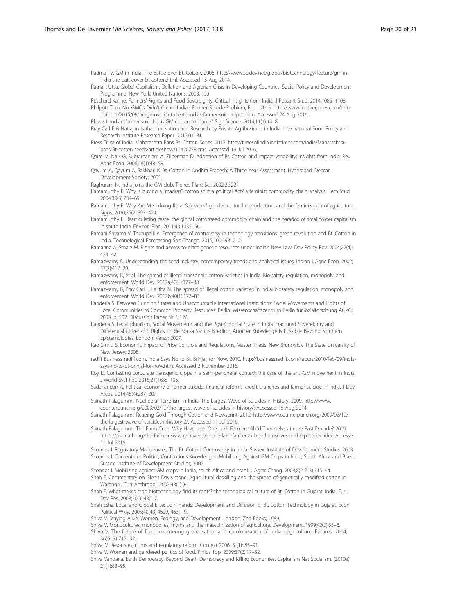<span id="page-19-0"></span>Padma TV. GM in India: The Battle over Bt. Cotton. 2006. [http://www.scidev.net/global/biotechnology/feature/gm-in](http://www.scidev.net/global/biotechnology/feature/gm-in-india-the-battleover-bt-cotton.html)[india-the-battleover-bt-cotton.html.](http://www.scidev.net/global/biotechnology/feature/gm-in-india-the-battleover-bt-cotton.html) Accessed 15 Aug 2014.

- Patnaik Utsa. Global Capitalism, Deflation and Agrarian Crisis in Developing Countries. Social Policy and Development Programme. New York: United Nations; 2003. 15.)
- Peschard Karine. Farmers' Rights and Food Sovereignty: Critical Insights from India. J Peasant Stud. 2014:1085–1108. Philpott Tom. No, GMOs Didn't Create India's Farmer Suicide Problem, But.... 2015. [http://www.motherjones.com/tom-](http://www.motherjones.com/tom-philpott/2015/09/no-gmos-didnt-create-indias-farmer-suicide-problem)
- [philpott/2015/09/no-gmos-didnt-create-indias-farmer-suicide-problem](http://www.motherjones.com/tom-philpott/2015/09/no-gmos-didnt-create-indias-farmer-suicide-problem). Accessed 24 Aug 2016.
- Plewis I. Indian farmer suicides: is GM cotton to blame? Significance. 2014;11(1):14–8.
- Pray Carl E & Natrajan Latha. Innovation and Research by Private Agribusiness in India. International Food Policy and Research Institute Research Paper. 2012:01181.
- Press Trust of India. Maharashtra Bans Bt. Cotton Seeds. 2012. [http://timesofindia.indiatimes.com/india/Maharashtra](http://timesofindia.indiatimes.com/india/Maharashtra-bans-Bt-cotton-seeds/articleshow/15420778.cms)[bans-Bt-cotton-seeds/articleshow/15420778.cms.](http://timesofindia.indiatimes.com/india/Maharashtra-bans-Bt-cotton-seeds/articleshow/15420778.cms) Accessed 19 Jul 2016.
- Qaim M, Naik G, Subramaniam A, Zilberman D. Adoption of Bt. Cotton and impact variability: insights from India. Rev Agric Econ. 2006;28(1):48–58.
- Qayum A, Qayum A, Sakkhari K. Bt. Cotton in Andhra Pradesh: A Three Year Assessment. Hyderabad: Deccan Development Society; 2005.
- Raghuram N. India joins the GM club. Trends Plant Sci. 2002;2:322f.
- Ramamurthy P. Why is buying a "madras" cotton shirt a political Act? a feminist commodity chain analysis. Fem Stud. 2004;30(3):734–69.
- Ramamurthy P. Why Are Men doing floral Sex work? gender, cultural reproduction, and the feminization of agriculture. Signs. 2010;35(2):397–424.
- Ramamurthy P. Rearticulating caste: the global cottonseed commodity chain and the paradox of smallholder capitalism in south India. Environ Plan. 2011;43:1035–56.
- Ramani Shyama V, Thutupalli A. Emergence of controversy in technology transitions: green revolution and Bt. Cotton in India. Technological Forecasting Soc Change. 2015;100:198–212.
- Ramanna A, Smale M. Rights and access to plant genetic resources under India's New Law. Dev Policy Rev. 2004;22(4): 423–42.
- Ramaswamy B. Understanding the seed industry: contemporary trends and analytical issues. Indian J Agric Econ. 2002; 57(3):417–29.
- Ramaswamy B, et al. The spread of illegal transgenic cotton varieties in India: Bio-safety regulation, monopoly, and enforcement. World Dev. 2012a;40(1):177–88.
- Ramaswamy B, Pray Carl E, Lalitha N. The spread of illegal cotton varieties in India: biosafety regulation, monopoly and enforcement. World Dev. 2012b;40(1):177–88.
- Randeria S. Between Cunning States and Unaccountable International Institutions: Social Movements and Rights of Local Communities to Common Property Resources. Berlin: Wissenschaftszentrum Berlin fürSozialforschung AGZG; 2003. p. 502. Discussion Paper Nr. SP IV.
- Randeria S. Legal pluralism, Social Movements and the Post-Colonial State in India: Fractured Sovereignty and Differential Citizenship Rights. In: de Sousa Santos B, editor. Another Knowledge Is Possible: Beyond Northern Epistemologies. London: Verso; 2007.
- Rao Smriti S. Economic Impact of Price Controls and Regulations, Master Thesis. New Brunswick: The State University of New Jersey; 2008.
- rediff Business rediff.com. India Says No to Bt. Brinjal, for Now. 2010. [http://business.rediff.com/report/2010/feb/09/india](http://business.rediff.com/report/2010/feb/09/india-says-no-to-bt-brinjal-for-now.htm)[says-no-to-bt-brinjal-for-now.htm.](http://business.rediff.com/report/2010/feb/09/india-says-no-to-bt-brinjal-for-now.htm) Accessed 2 November 2016.
- Roy D. Contesting corporate transgenic crops in a semi-peripheral context: the case of the anti-GM movement in India. J World Syst Res. 2015;21(1):88–105.
- Sadanandan A. Political economy of farmer suicide: financial reforms, credit crunches and farmer suicide in India. J Dev Areas. 2014;48(4):287–307.
- Sainath Palagummi. Neoliberal Terrorism in India: The Largest Wave of Suicides in History. 2009. [http://www.](http://www.counterpunch.org/2009/02/12/the-largest-wave-of-suicides-in-history/) [counterpunch.org/2009/02/12/the-largest-wave-of-suicides-in-history/.](http://www.counterpunch.org/2009/02/12/the-largest-wave-of-suicides-in-history/) Accessed 15 Aug 2014.
- Sainath Palagummi. Reaping Gold Through Cotton and Newsprint. 2012. [http://www.counterpunch.org/2009/02/12/](http://www.counterpunch.org/2009/02/12/the-largest-wave-of-suicides-inhistory-2/) [the-largest-wave-of-suicides-inhistory-2/](http://www.counterpunch.org/2009/02/12/the-largest-wave-of-suicides-inhistory-2/). Accessed 11 Jul 2016.
- Sainath Palagummi. The Farm Crisis: Why Have over One Lakh Farmers Killed Themselves in the Past Decade? 2009. [https://psainath.org/the-farm-crisis-why-have-over-one-lakh-farmers-killed-themselves-in-the-past-decade/.](https://psainath.org/the-farm-crisis-why-have-over-one-lakh-farmers-killed-themselves-in-the-past-decade/) Accessed 11 Jul 2016.
- Scoones I. Regulatory Manoeuvres: The Bt. Cotton Controversy in India. Sussex: Institute of Development Studies; 2003. Scoones I. Contentious Politics, Contentious Knowledges: Mobilising Against GM Crops in India, South Africa and Brazil. Sussex: Institute of Development Studies; 2005.
- Scoones I. Mobilizing against GM crops in India, south Africa and brazil. J Agrar Chang. 2008;8(2 & 3):315–44.

Shah E. Commentary on Glenn Davis stone. Agricultural deskilling and the spread of genetically modified cotton in Warangal. Curr Anthropol. 2007;48(1):94.

- Shah E. What makes crop biotechnology find its roots? the technological culture of Bt. Cotton in Gujarat, India. Eur J Dev Res. 2008;20(3):432–7.
- Shah Esha. Local and Global Elites Join Hands: Development and Diffusion of Bt. Cotton Technology in Gujarat. Econ Political Wkly. 2005;40(43):4629, 4631–9.
- Shiva V. Staying Alive: Women, Ecology, and Development. London: Zed Books; 1989.
- Shiva V. Monocultures, monopolies, myths and the masculinization of agriculture. Development. 1999;42(2):35–8.
- Shiva V. The future of food: countering globalisation and recolonisation of Indian agriculture. Futures. 2004; 36(6–7):715–32.
- Shiva, V. Resources, rights and regulatory reform. Context 2006; 3 (1): 85–91.
- Shiva V. Women and gendered politics of food. Philos Top. 2009;37(2):17–32.
- Shiva Vandana. Earth Democracy: Beyond Death Democracy and Killing Economies. Capitalism Nat Socialism. (2010a); 21(1):83–95.